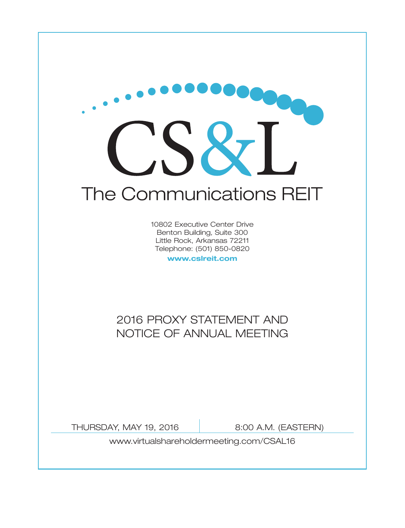

10802 Executive Center Drive Benton Building, Suite 300 Little Rock, Arkansas 72211 Telephone: (501) 850-0820

**www.cslreit.com**

# 2016 PROXY STATEMENT AND NOTICE OF ANNUAL MEETING

THURSDAY, MAY 19, 2016 8:00 A.M. (EASTERN)

www.virtualshareholdermeeting.com/CSAL16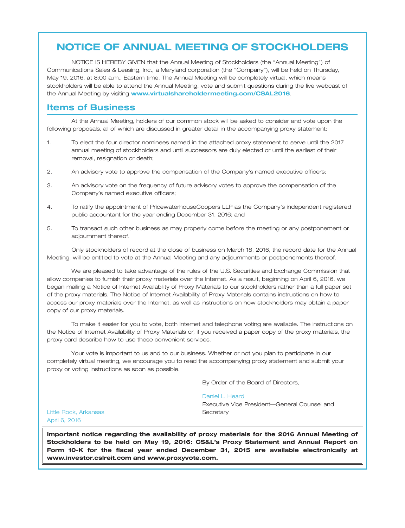# **NOTICE OF ANNUAL MEETING OF STOCKHOLDERS**

NOTICE IS HEREBY GIVEN that the Annual Meeting of Stockholders (the ''Annual Meeting'') of Communications Sales & Leasing, Inc., a Maryland corporation (the ''Company''), will be held on Thursday, May 19, 2016, at 8:00 a.m., Eastern time. The Annual Meeting will be completely virtual, which means stockholders will be able to attend the Annual Meeting, vote and submit questions during the live webcast of the Annual Meeting by visiting **www.virtualshareholdermeeting.com/CSAL2016**.

### **Items of Business**

At the Annual Meeting, holders of our common stock will be asked to consider and vote upon the following proposals, all of which are discussed in greater detail in the accompanying proxy statement:

- 1. To elect the four director nominees named in the attached proxy statement to serve until the 2017 annual meeting of stockholders and until successors are duly elected or until the earliest of their removal, resignation or death;
- 2. An advisory vote to approve the compensation of the Company's named executive officers;
- 3. An advisory vote on the frequency of future advisory votes to approve the compensation of the Company's named executive officers;
- 4. To ratify the appointment of PricewaterhouseCoopers LLP as the Company's independent registered public accountant for the year ending December 31, 2016; and
- 5. To transact such other business as may properly come before the meeting or any postponement or adjournment thereof.

Only stockholders of record at the close of business on March 18, 2016, the record date for the Annual Meeting, will be entitled to vote at the Annual Meeting and any adjournments or postponements thereof.

We are pleased to take advantage of the rules of the U.S. Securities and Exchange Commission that allow companies to furnish their proxy materials over the Internet. As a result, beginning on April 6, 2016, we began mailing a Notice of Internet Availability of Proxy Materials to our stockholders rather than a full paper set of the proxy materials. The Notice of Internet Availability of Proxy Materials contains instructions on how to access our proxy materials over the Internet, as well as instructions on how stockholders may obtain a paper copy of our proxy materials.

To make it easier for you to vote, both Internet and telephone voting are available. The instructions on the Notice of Internet Availability of Proxy Materials or, if you received a paper copy of the proxy materials, the proxy card describe how to use these convenient services.

Your vote is important to us and to our business. Whether or not you plan to participate in our completely virtual meeting, we encourage you to read the accompanying proxy statement and submit your proxy or voting instructions as soon as possible.

By Order of the Board of Directors,

#### Daniel L. Heard

Executive Vice President—General Counsel and **Secretary** 

Little Rock, Arkansas April 6, 2016

**Important notice regarding the availability of proxy materials for the 2016 Annual Meeting of Stockholders to be held on May 19, 2016: CS&L's Proxy Statement and Annual Report on Form 10-K for the fiscal year ended December 31, 2015 are available electronically at www.investor.cslreit.com and www.proxyvote.com.**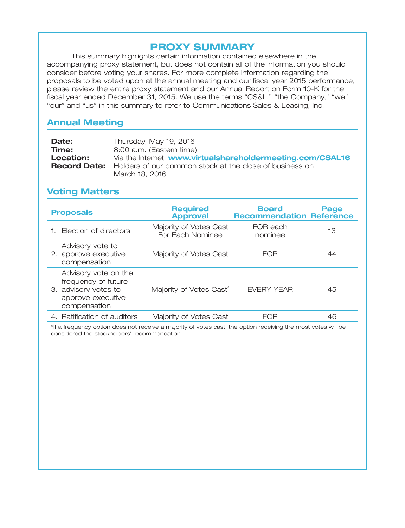# **PROXY SUMMARY**

This summary highlights certain information contained elsewhere in the accompanying proxy statement, but does not contain all of the information you should consider before voting your shares. For more complete information regarding the proposals to be voted upon at the annual meeting and our fiscal year 2015 performance, please review the entire proxy statement and our Annual Report on Form 10-K for the fiscal year ended December 31, 2015. We use the terms "CS&L," "the Company," "we," "our" and "us" in this summary to refer to Communications Sales & Leasing, Inc.

# **Annual Meeting**

| Date:     | Thursday, May 19, 2016                                                      |
|-----------|-----------------------------------------------------------------------------|
| Time:     | 8:00 a.m. (Eastern time)                                                    |
| Location: | Via the Internet: www.virtualshareholdermeeting.com/CSAL16                  |
|           | <b>Record Date:</b> Holders of our common stock at the close of business on |
|           | March 18, 2016                                                              |

# **Voting Matters**

| <b>Proposals</b>                                                                                         | <b>Required</b><br><b>Approval</b>         | <b>Board</b><br><b>Recommendation Reference</b> | Page |
|----------------------------------------------------------------------------------------------------------|--------------------------------------------|-------------------------------------------------|------|
| 1. Election of directors                                                                                 | Majority of Votes Cast<br>For Each Nominee | FOR each<br>nominee                             | 13   |
| Advisory vote to<br>2. approve executive<br>compensation                                                 | Majority of Votes Cast                     | <b>FOR</b>                                      | 44   |
| Advisory vote on the<br>frequency of future<br>3. advisory votes to<br>approve executive<br>compensation | Majority of Votes Cast <sup>®</sup>        | <b>FVFRY YFAR</b>                               | 45   |
| 4. Ratification of auditors                                                                              | Majority of Votes Cast                     | FOR                                             | 46   |

\*If a frequency option does not receive a majority of votes cast, the option receiving the most votes will be considered the stockholders' recommendation.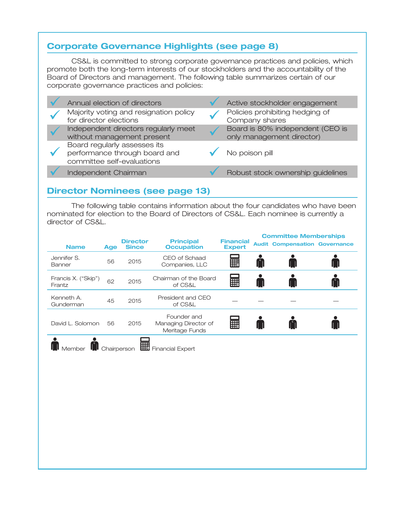# **Corporate Governance Highlights (see page 8)**

CS&L is committed to strong corporate governance practices and policies, which promote both the long-term interests of our stockholders and the accountability of the Board of Directors and management. The following table summarizes certain of our corporate governance practices and policies:

|  | Annual election of directors                                                                | Active stockholder engagement                                 |
|--|---------------------------------------------------------------------------------------------|---------------------------------------------------------------|
|  | Majority voting and resignation policy<br>for director elections                            | Policies prohibiting hedging of<br>Company shares             |
|  | Independent directors regularly meet<br>without management present                          | Board is 80% independent (CEO is<br>only management director) |
|  | Board regularly assesses its<br>performance through board and<br>committee self-evaluations | No poison pill                                                |
|  | Independent Chairman                                                                        | Robust stock ownership guidelines                             |

## **Director Nominees (see page 13)**

The following table contains information about the four candidates who have been nominated for election to the Board of Directors of CS&L. Each nominee is currently a director of CS&L.

| <b>Name</b>                   | Age | <b>Director</b><br><b>Since</b> | <b>Principal</b><br><b>Occupation</b>                 | <b>Financial</b><br><b>Expert</b> | <b>Committee Memberships</b><br><b>Audit Compensation Governance</b> |  |
|-------------------------------|-----|---------------------------------|-------------------------------------------------------|-----------------------------------|----------------------------------------------------------------------|--|
| Jennifer S.<br>Banner         | 56  | 2015                            | CEO of Schaad<br>Companies, LLC                       | E                                 |                                                                      |  |
| Francis X. ("Skip")<br>Frantz | 62  | 2015                            | Chairman of the Board<br>of CS&L                      | <b>A</b>                          |                                                                      |  |
| Kenneth A.<br>Gunderman       | 45  | 2015                            | President and CEO<br>of CS&L                          |                                   |                                                                      |  |
| David L. Solomon              | 56  | 2015                            | Founder and<br>Managing Director of<br>Meritage Funds | E                                 |                                                                      |  |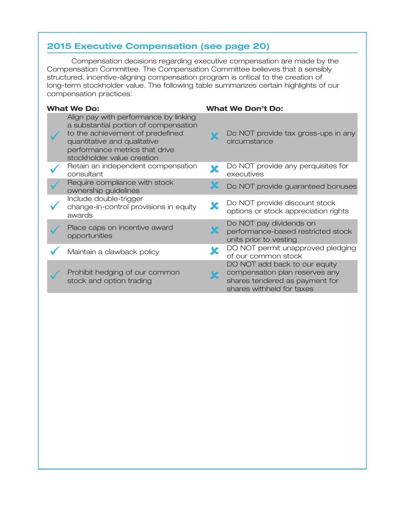# **2015 Executive Compensation (see page 20)**

Compensation decisions regarding executive compensation are made by the Compensation Committee. The Compensation Committee believes that a sensibly structured, incentive-aligning compensation program is critical to the creation of long-term stockholder value. The following table summarizes certain highlights of our compensation practices:

| <b>What We Do:</b>                                                                                                                                                                                                 | <b>What We Don't Do:</b>                                                                                                       |
|--------------------------------------------------------------------------------------------------------------------------------------------------------------------------------------------------------------------|--------------------------------------------------------------------------------------------------------------------------------|
| Align pay with performance by linking<br>a substantial portion of compensation<br>to the achievement of predefined<br>quantitative and qualitative<br>performance metrics that drive<br>stockholder value creation | Do NOT provide tax gross-ups in any<br>circumstance                                                                            |
| Retain an independent compensation<br>consultant                                                                                                                                                                   | Do NOT provide any perquisites for<br>executives                                                                               |
| Require compliance with stock<br>ownership guidelines                                                                                                                                                              | Do NOT provide guaranteed bonuses                                                                                              |
| Include double-trigger<br>change-in-control provisions in equity<br>awards                                                                                                                                         | Do NOT provide discount stock<br>options or stock appreciation rights                                                          |
| Place caps on incentive award<br>opportunities                                                                                                                                                                     | Do NOT pay dividends on<br>performance-based restricted stock<br>units prior to vesting                                        |
| Maintain a clawback policy                                                                                                                                                                                         | DO NOT permit unapproved pledging<br>of our common stock                                                                       |
| Prohibit hedging of our common<br>stock and option trading                                                                                                                                                         | DO NOT add back to our equity<br>compensation plan reserves any<br>shares tendered as payment for<br>shares withheld for taxes |
|                                                                                                                                                                                                                    |                                                                                                                                |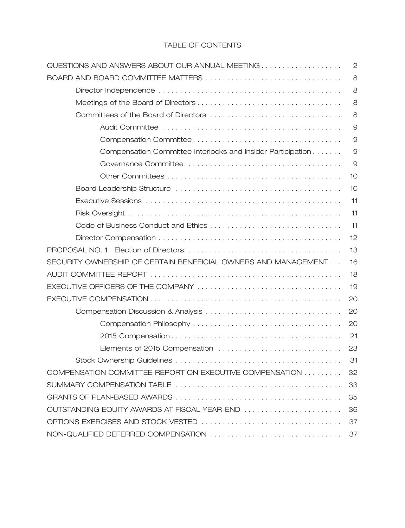### TABLE OF CONTENTS

| QUESTIONS AND ANSWERS ABOUT OUR ANNUAL MEETING                 | $\mathbf{2}$ |
|----------------------------------------------------------------|--------------|
| BOARD AND BOARD COMMITTEE MATTERS                              | 8            |
|                                                                | 8            |
|                                                                | 8            |
|                                                                | 8            |
|                                                                | $\Theta$     |
|                                                                | $\Theta$     |
| Compensation Committee Interlocks and Insider Participation    | $\Theta$     |
|                                                                | 9            |
|                                                                | 10           |
|                                                                | 10           |
|                                                                | 11           |
|                                                                | 11           |
|                                                                | 11           |
|                                                                | 12           |
|                                                                | 13           |
| SECURITY OWNERSHIP OF CERTAIN BENEFICIAL OWNERS AND MANAGEMENT | 16           |
|                                                                | 18           |
|                                                                | 19           |
|                                                                | 20           |
|                                                                | 20           |
|                                                                | 20           |
|                                                                | 21           |
| Elements of 2015 Compensation                                  | 23           |
|                                                                | 31           |
| COMPENSATION COMMITTEE REPORT ON EXECUTIVE COMPENSATION        | 32           |
|                                                                | 33           |
|                                                                | 35           |
| OUTSTANDING EQUITY AWARDS AT FISCAL YEAR-END                   | 36           |
|                                                                | 37           |
|                                                                |              |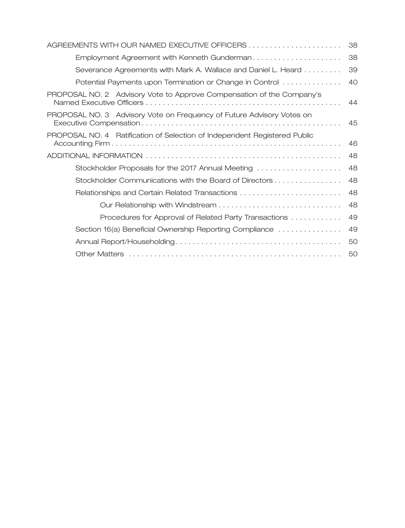|                                                                           | 38 |
|---------------------------------------------------------------------------|----|
| Employment Agreement with Kenneth Gunderman                               | 38 |
| Severance Agreements with Mark A. Wallace and Daniel L. Heard             | 39 |
| Potential Payments upon Termination or Change in Control                  | 40 |
| PROPOSAL NO. 2 Advisory Vote to Approve Compensation of the Company's     | 44 |
| PROPOSAL NO. 3 Advisory Vote on Frequency of Future Advisory Votes on     | 45 |
| PROPOSAL NO. 4 Ratification of Selection of Independent Registered Public | 46 |
|                                                                           | 48 |
| Stockholder Proposals for the 2017 Annual Meeting                         | 48 |
| Stockholder Communications with the Board of Directors                    | 48 |
| Relationships and Certain Related Transactions                            | 48 |
|                                                                           | 48 |
| Procedures for Approval of Related Party Transactions                     | 49 |
| Section 16(a) Beneficial Ownership Reporting Compliance                   | 49 |
|                                                                           | 50 |
|                                                                           | 50 |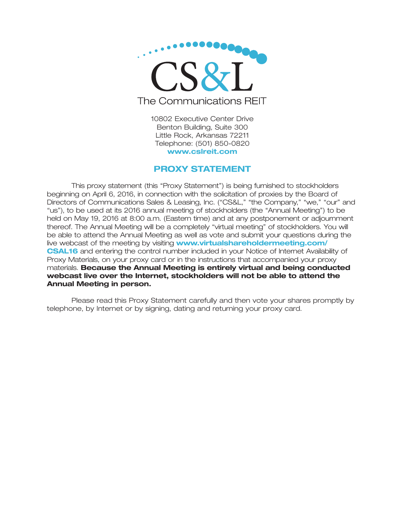

10802 Executive Center Drive Benton Building, Suite 300 Little Rock, Arkansas 72211 Telephone: (501) 850-0820 **www.cslreit.com**

### **PROXY STATEMENT**

This proxy statement (this ''Proxy Statement'') is being furnished to stockholders beginning on April 6, 2016, in connection with the solicitation of proxies by the Board of Directors of Communications Sales & Leasing, Inc. ("CS&L," "the Company," "we," "our" and ''us''), to be used at its 2016 annual meeting of stockholders (the ''Annual Meeting'') to be held on May 19, 2016 at 8:00 a.m. (Eastern time) and at any postponement or adjournment thereof. The Annual Meeting will be a completely ''virtual meeting'' of stockholders. You will be able to attend the Annual Meeting as well as vote and submit your questions during the live webcast of the meeting by visiting **www.virtualshareholdermeeting.com/ CSAL16** and entering the control number included in your Notice of Internet Availability of Proxy Materials, on your proxy card or in the instructions that accompanied your proxy materials. **Because the Annual Meeting is entirely virtual and being conducted webcast live over the Internet, stockholders will not be able to attend the Annual Meeting in person.**

Please read this Proxy Statement carefully and then vote your shares promptly by telephone, by Internet or by signing, dating and returning your proxy card.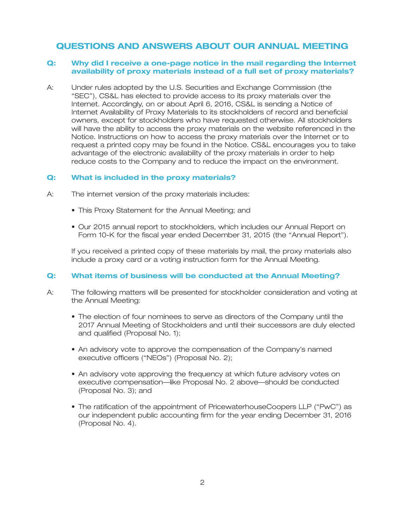## **QUESTIONS AND ANSWERS ABOUT OUR ANNUAL MEETING**

### **Q: Why did I receive a one-page notice in the mail regarding the Internet availability of proxy materials instead of a full set of proxy materials?**

A: Under rules adopted by the U.S. Securities and Exchange Commission (the ''SEC''), CS&L has elected to provide access to its proxy materials over the Internet. Accordingly, on or about April 6, 2016, CS&L is sending a Notice of Internet Availability of Proxy Materials to its stockholders of record and beneficial owners, except for stockholders who have requested otherwise. All stockholders will have the ability to access the proxy materials on the website referenced in the Notice. Instructions on how to access the proxy materials over the Internet or to request a printed copy may be found in the Notice. CS&L encourages you to take advantage of the electronic availability of the proxy materials in order to help reduce costs to the Company and to reduce the impact on the environment.

### **Q: What is included in the proxy materials?**

- A: The internet version of the proxy materials includes:
	- This Proxy Statement for the Annual Meeting; and
	- Our 2015 annual report to stockholders, which includes our Annual Report on Form 10-K for the fiscal year ended December 31, 2015 (the "Annual Report").

If you received a printed copy of these materials by mail, the proxy materials also include a proxy card or a voting instruction form for the Annual Meeting.

### **Q: What items of business will be conducted at the Annual Meeting?**

- A: The following matters will be presented for stockholder consideration and voting at the Annual Meeting:
	- The election of four nominees to serve as directors of the Company until the 2017 Annual Meeting of Stockholders and until their successors are duly elected and qualified (Proposal No. 1);
	- An advisory vote to approve the compensation of the Company's named executive officers ("NEOs") (Proposal No. 2);
	- An advisory vote approving the frequency at which future advisory votes on executive compensation—like Proposal No. 2 above—should be conducted (Proposal No. 3); and
	- The ratification of the appointment of PricewaterhouseCoopers LLP (''PwC'') as our independent public accounting firm for the year ending December 31, 2016 (Proposal No. 4).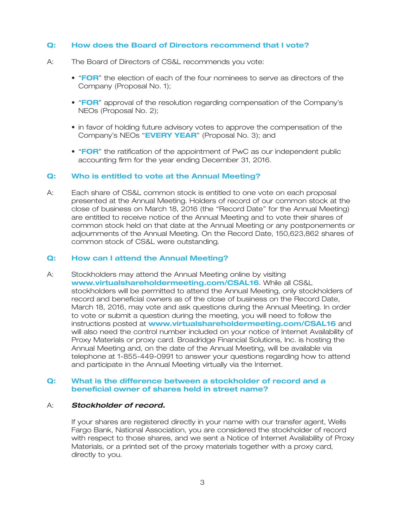### **Q: How does the Board of Directors recommend that I vote?**

- A: The Board of Directors of CS&L recommends you vote:
	- "FOR" the election of each of the four nominees to serve as directors of the Company (Proposal No. 1);
	- "FOR" approval of the resolution regarding compensation of the Company's NEOs (Proposal No. 2);
	- in favor of holding future advisory votes to approve the compensation of the Company's NEOs "EVERY YEAR" (Proposal No. 3); and
	- "FOR" the ratification of the appointment of PwC as our independent public accounting firm for the year ending December 31, 2016.

#### **Q: Who is entitled to vote at the Annual Meeting?**

A: Each share of CS&L common stock is entitled to one vote on each proposal presented at the Annual Meeting. Holders of record of our common stock at the close of business on March 18, 2016 (the ''Record Date'' for the Annual Meeting) are entitled to receive notice of the Annual Meeting and to vote their shares of common stock held on that date at the Annual Meeting or any postponements or adjournments of the Annual Meeting. On the Record Date, 150,623,862 shares of common stock of CS&L were outstanding.

### **Q: How can I attend the Annual Meeting?**

A: Stockholders may attend the Annual Meeting online by visiting www.virtualshareholdermeeting.com/CSAL16. While all CS&L stockholders will be permitted to attend the Annual Meeting, only stockholders of record and beneficial owners as of the close of business on the Record Date, March 18, 2016, may vote and ask questions during the Annual Meeting. In order to vote or submit a question during the meeting, you will need to follow the instructions posted at **www.virtualshareholdermeeting.com/CSAL16** and will also need the control number included on your notice of Internet Availability of Proxy Materials or proxy card. Broadridge Financial Solutions, Inc. is hosting the Annual Meeting and, on the date of the Annual Meeting, will be available via telephone at 1-855-449-0991 to answer your questions regarding how to attend and participate in the Annual Meeting virtually via the Internet.

### **Q: What is the difference between a stockholder of record and a beneficial owner of shares held in street name?**

### A: *Stockholder of record.*

If your shares are registered directly in your name with our transfer agent, Wells Fargo Bank, National Association, you are considered the stockholder of record with respect to those shares, and we sent a Notice of Internet Availability of Proxy Materials, or a printed set of the proxy materials together with a proxy card, directly to you.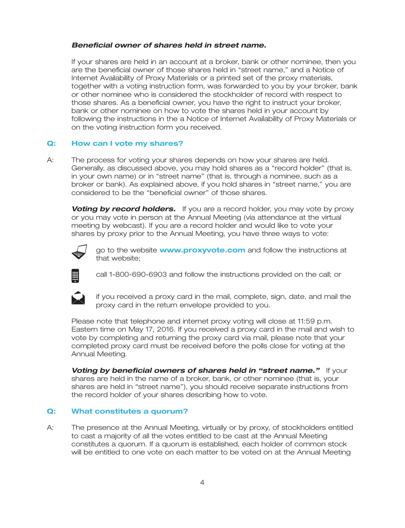### *Beneficial owner of shares held in street name.*

If your shares are held in an account at a broker, bank or other nominee, then you are the beneficial owner of those shares held in ''street name,'' and a Notice of Internet Availability of Proxy Materials or a printed set of the proxy materials, together with a voting instruction form, was forwarded to you by your broker, bank or other nominee who is considered the stockholder of record with respect to those shares. As a beneficial owner, you have the right to instruct your broker, bank or other nominee on how to vote the shares held in your account by following the instructions in the a Notice of Internet Availability of Proxy Materials or on the voting instruction form you received.

### **Q: How can I vote my shares?**

A: The process for voting your shares depends on how your shares are held. Generally, as discussed above, you may hold shares as a ''record holder'' (that is, in your own name) or in ''street name'' (that is, through a nominee, such as a broker or bank). As explained above, if you hold shares in ''street name,'' you are considered to be the ''beneficial owner'' of those shares.

**Voting by record holders.** If you are a record holder, you may vote by proxy or you may vote in person at the Annual Meeting (via attendance at the virtual meeting by webcast). If you are a record holder and would like to vote your shares by proxy prior to the Annual Meeting, you have three ways to vote:



go to the website **www.proxyvote.com** and follow the instructions at that website;



call 1-800-690-6903 and follow the instructions provided on the call; or



if you received a proxy card in the mail, complete, sign, date, and mail the proxy card in the return envelope provided to you.

Please note that telephone and internet proxy voting will close at 11:59 p.m. Eastern time on May 17, 2016. If you received a proxy card in the mail and wish to vote by completing and returning the proxy card via mail, please note that your completed proxy card must be received before the polls close for voting at the Annual Meeting.

**Voting by beneficial owners of shares held in "street name."** If your shares are held in the name of a broker, bank, or other nominee (that is, your shares are held in ''street name''), you should receive separate instructions from the record holder of your shares describing how to vote.

### **Q: What constitutes a quorum?**

A: The presence at the Annual Meeting, virtually or by proxy, of stockholders entitled to cast a majority of all the votes entitled to be cast at the Annual Meeting constitutes a quorum. If a quorum is established, each holder of common stock will be entitled to one vote on each matter to be voted on at the Annual Meeting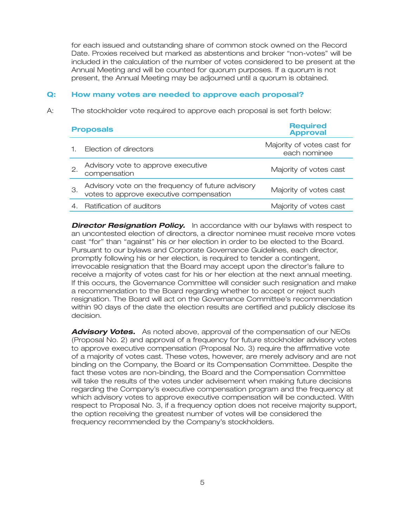for each issued and outstanding share of common stock owned on the Record Date. Proxies received but marked as abstentions and broker ''non-votes'' will be included in the calculation of the number of votes considered to be present at the Annual Meeting and will be counted for quorum purposes. If a quorum is not present, the Annual Meeting may be adjourned until a quorum is obtained.

### **Q: How many votes are needed to approve each proposal?**

A: The stockholder vote required to approve each proposal is set forth below:

| <b>Proposals</b>                                                                             | <b>Required</b><br><b>Approval</b>         |
|----------------------------------------------------------------------------------------------|--------------------------------------------|
| Election of directors                                                                        | Majority of votes cast for<br>each nominee |
| Advisory vote to approve executive<br>compensation                                           | Majority of votes cast                     |
| Advisory vote on the frequency of future advisory<br>votes to approve executive compensation | Majority of votes cast                     |
| Ratification of auditors                                                                     | Majority of votes cast                     |

**Director Resignation Policy.** In accordance with our bylaws with respect to an uncontested election of directors, a director nominee must receive more votes cast ''for'' than ''against'' his or her election in order to be elected to the Board. Pursuant to our bylaws and Corporate Governance Guidelines, each director, promptly following his or her election, is required to tender a contingent, irrevocable resignation that the Board may accept upon the director's failure to receive a majority of votes cast for his or her election at the next annual meeting. If this occurs, the Governance Committee will consider such resignation and make a recommendation to the Board regarding whether to accept or reject such resignation. The Board will act on the Governance Committee's recommendation within 90 days of the date the election results are certified and publicly disclose its decision.

*Advisory Votes.* As noted above, approval of the compensation of our NEOs (Proposal No. 2) and approval of a frequency for future stockholder advisory votes to approve executive compensation (Proposal No. 3) require the affirmative vote of a majority of votes cast. These votes, however, are merely advisory and are not binding on the Company, the Board or its Compensation Committee. Despite the fact these votes are non-binding, the Board and the Compensation Committee will take the results of the votes under advisement when making future decisions regarding the Company's executive compensation program and the frequency at which advisory votes to approve executive compensation will be conducted. With respect to Proposal No. 3, if a frequency option does not receive majority support, the option receiving the greatest number of votes will be considered the frequency recommended by the Company's stockholders.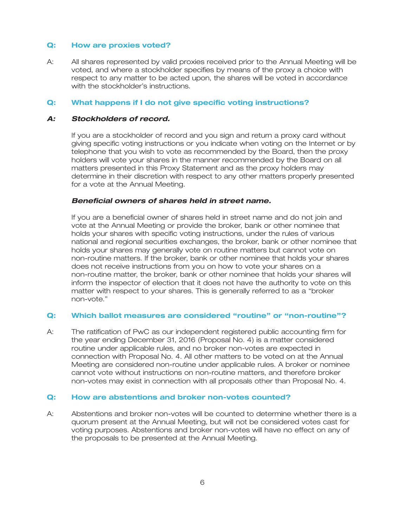### **Q: How are proxies voted?**

A: All shares represented by valid proxies received prior to the Annual Meeting will be voted, and where a stockholder specifies by means of the proxy a choice with respect to any matter to be acted upon, the shares will be voted in accordance with the stockholder's instructions.

### **Q: What happens if I do not give specific voting instructions?**

### *A: Stockholders of record.*

If you are a stockholder of record and you sign and return a proxy card without giving specific voting instructions or you indicate when voting on the Internet or by telephone that you wish to vote as recommended by the Board, then the proxy holders will vote your shares in the manner recommended by the Board on all matters presented in this Proxy Statement and as the proxy holders may determine in their discretion with respect to any other matters properly presented for a vote at the Annual Meeting.

### *Beneficial owners of shares held in street name.*

If you are a beneficial owner of shares held in street name and do not join and vote at the Annual Meeting or provide the broker, bank or other nominee that holds your shares with specific voting instructions, under the rules of various national and regional securities exchanges, the broker, bank or other nominee that holds your shares may generally vote on routine matters but cannot vote on non-routine matters. If the broker, bank or other nominee that holds your shares does not receive instructions from you on how to vote your shares on a non-routine matter, the broker, bank or other nominee that holds your shares will inform the inspector of election that it does not have the authority to vote on this matter with respect to your shares. This is generally referred to as a ''broker non-vote.''

### **Q: Which ballot measures are considered ''routine'' or ''non-routine''?**

A: The ratification of PwC as our independent registered public accounting firm for the year ending December 31, 2016 (Proposal No. 4) is a matter considered routine under applicable rules, and no broker non-votes are expected in connection with Proposal No. 4. All other matters to be voted on at the Annual Meeting are considered non-routine under applicable rules. A broker or nominee cannot vote without instructions on non-routine matters, and therefore broker non-votes may exist in connection with all proposals other than Proposal No. 4.

### **Q: How are abstentions and broker non-votes counted?**

A: Abstentions and broker non-votes will be counted to determine whether there is a quorum present at the Annual Meeting, but will not be considered votes cast for voting purposes. Abstentions and broker non-votes will have no effect on any of the proposals to be presented at the Annual Meeting.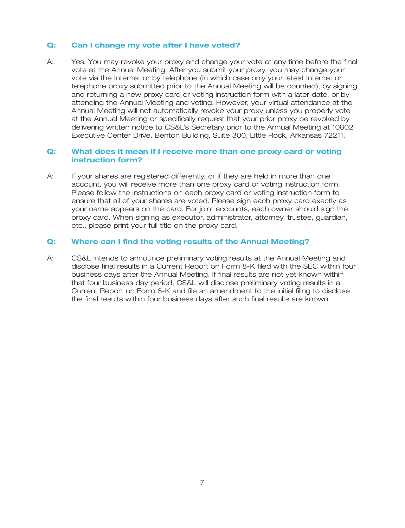### **Q: Can I change my vote after I have voted?**

A: Yes. You may revoke your proxy and change your vote at any time before the final vote at the Annual Meeting. After you submit your proxy, you may change your vote via the Internet or by telephone (in which case only your latest Internet or telephone proxy submitted prior to the Annual Meeting will be counted), by signing and returning a new proxy card or voting instruction form with a later date, or by attending the Annual Meeting and voting. However, your virtual attendance at the Annual Meeting will not automatically revoke your proxy unless you properly vote at the Annual Meeting or specifically request that your prior proxy be revoked by delivering written notice to CS&L's Secretary prior to the Annual Meeting at 10802 Executive Center Drive, Benton Building, Suite 300, Little Rock, Arkansas 72211.

### **Q: What does it mean if I receive more than one proxy card or voting instruction form?**

A: If your shares are registered differently, or if they are held in more than one account, you will receive more than one proxy card or voting instruction form. Please follow the instructions on each proxy card or voting instruction form to ensure that all of your shares are voted. Please sign each proxy card exactly as your name appears on the card. For joint accounts, each owner should sign the proxy card. When signing as executor, administrator, attorney, trustee, guardian, etc., please print your full title on the proxy card.

### **Q: Where can I find the voting results of the Annual Meeting?**

A: CS&L intends to announce preliminary voting results at the Annual Meeting and disclose final results in a Current Report on Form 8-K filed with the SEC within four business days after the Annual Meeting. If final results are not yet known within that four business day period, CS&L will disclose preliminary voting results in a Current Report on Form 8-K and file an amendment to the initial filing to disclose the final results within four business days after such final results are known.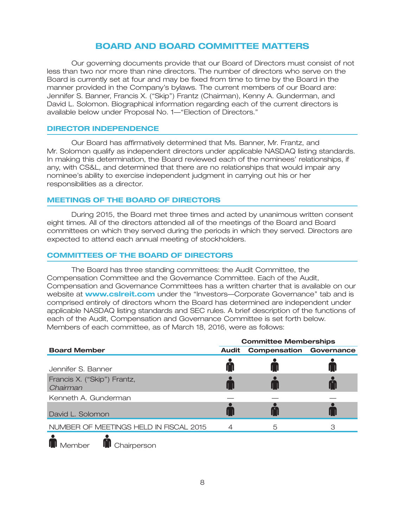### **BOARD AND BOARD COMMITTEE MATTERS**

Our governing documents provide that our Board of Directors must consist of not less than two nor more than nine directors. The number of directors who serve on the Board is currently set at four and may be fixed from time to time by the Board in the manner provided in the Company's bylaws. The current members of our Board are: Jennifer S. Banner, Francis X. (''Skip'') Frantz (Chairman), Kenny A. Gunderman, and David L. Solomon. Biographical information regarding each of the current directors is available below under Proposal No. 1—''Election of Directors.''

### **DIRECTOR INDEPENDENCE**

Our Board has affirmatively determined that Ms. Banner, Mr. Frantz, and Mr. Solomon qualify as independent directors under applicable NASDAQ listing standards. In making this determination, the Board reviewed each of the nominees' relationships, if any, with CS&L, and determined that there are no relationships that would impair any nominee's ability to exercise independent judgment in carrying out his or her responsibilities as a director.

### **MEETINGS OF THE BOARD OF DIRECTORS**

During 2015, the Board met three times and acted by unanimous written consent eight times. All of the directors attended all of the meetings of the Board and Board committees on which they served during the periods in which they served. Directors are expected to attend each annual meeting of stockholders.

### **COMMITTEES OF THE BOARD OF DIRECTORS**

The Board has three standing committees: the Audit Committee, the Compensation Committee and the Governance Committee. Each of the Audit, Compensation and Governance Committees has a written charter that is available on our website at **www.csIreit.com** under the "Investors—Corporate Governance" tab and is comprised entirely of directors whom the Board has determined are independent under applicable NASDAQ listing standards and SEC rules. A brief description of the functions of each of the Audit, Compensation and Governance Committee is set forth below. Members of each committee, as of March 18, 2016, were as follows:

|                                         | <b>Committee Memberships</b> |                                |  |  |
|-----------------------------------------|------------------------------|--------------------------------|--|--|
| <b>Board Member</b>                     | <b>Audit</b>                 | <b>Compensation Governance</b> |  |  |
| Jennifer S. Banner                      |                              |                                |  |  |
| Francis X. ("Skip") Frantz,<br>Chairman |                              |                                |  |  |
| Kenneth A. Gunderman                    |                              |                                |  |  |
| David L. Solomon                        |                              |                                |  |  |
| NUMBER OF MEETINGS HELD IN FISCAL 2015  |                              | 5                              |  |  |
|                                         |                              |                                |  |  |

 $\blacksquare$  Member

**M** Chairperson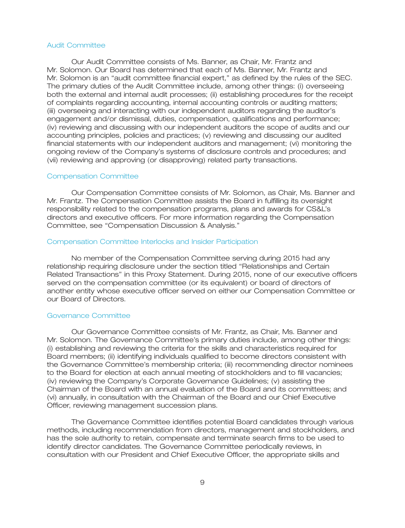#### Audit Committee

Our Audit Committee consists of Ms. Banner, as Chair, Mr. Frantz and Mr. Solomon. Our Board has determined that each of Ms. Banner, Mr. Frantz and Mr. Solomon is an ''audit committee financial expert,'' as defined by the rules of the SEC. The primary duties of the Audit Committee include, among other things: (i) overseeing both the external and internal audit processes; (ii) establishing procedures for the receipt of complaints regarding accounting, internal accounting controls or auditing matters; (iii) overseeing and interacting with our independent auditors regarding the auditor's engagement and/or dismissal, duties, compensation, qualifications and performance; (iv) reviewing and discussing with our independent auditors the scope of audits and our accounting principles, policies and practices; (v) reviewing and discussing our audited financial statements with our independent auditors and management; (vi) monitoring the ongoing review of the Company's systems of disclosure controls and procedures; and (vii) reviewing and approving (or disapproving) related party transactions.

#### Compensation Committee

Our Compensation Committee consists of Mr. Solomon, as Chair, Ms. Banner and Mr. Frantz. The Compensation Committee assists the Board in fulfilling its oversight responsibility related to the compensation programs, plans and awards for CS&L's directors and executive officers. For more information regarding the Compensation Committee, see ''Compensation Discussion & Analysis.''

#### Compensation Committee Interlocks and Insider Participation

No member of the Compensation Committee serving during 2015 had any relationship requiring disclosure under the section titled ''Relationships and Certain Related Transactions'' in this Proxy Statement. During 2015, none of our executive officers served on the compensation committee (or its equivalent) or board of directors of another entity whose executive officer served on either our Compensation Committee or our Board of Directors.

#### Governance Committee

Our Governance Committee consists of Mr. Frantz, as Chair, Ms. Banner and Mr. Solomon. The Governance Committee's primary duties include, among other things: (i) establishing and reviewing the criteria for the skills and characteristics required for Board members; (ii) identifying individuals qualified to become directors consistent with the Governance Committee's membership criteria; (iii) recommending director nominees to the Board for election at each annual meeting of stockholders and to fill vacancies; (iv) reviewing the Company's Corporate Governance Guidelines; (v) assisting the Chairman of the Board with an annual evaluation of the Board and its committees; and (vi) annually, in consultation with the Chairman of the Board and our Chief Executive Officer, reviewing management succession plans.

The Governance Committee identifies potential Board candidates through various methods, including recommendation from directors, management and stockholders, and has the sole authority to retain, compensate and terminate search firms to be used to identify director candidates. The Governance Committee periodically reviews, in consultation with our President and Chief Executive Officer, the appropriate skills and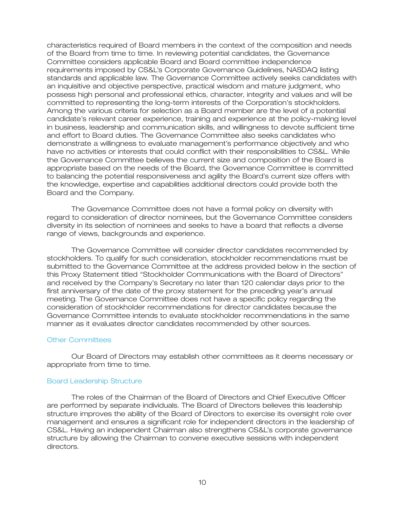characteristics required of Board members in the context of the composition and needs of the Board from time to time. In reviewing potential candidates, the Governance Committee considers applicable Board and Board committee independence requirements imposed by CS&L's Corporate Governance Guidelines, NASDAQ listing standards and applicable law. The Governance Committee actively seeks candidates with an inquisitive and objective perspective, practical wisdom and mature judgment, who possess high personal and professional ethics, character, integrity and values and will be committed to representing the long-term interests of the Corporation's stockholders. Among the various criteria for selection as a Board member are the level of a potential candidate's relevant career experience, training and experience at the policy-making level in business, leadership and communication skills, and willingness to devote sufficient time and effort to Board duties. The Governance Committee also seeks candidates who demonstrate a willingness to evaluate management's performance objectively and who have no activities or interests that could conflict with their responsibilities to CS&L. While the Governance Committee believes the current size and composition of the Board is appropriate based on the needs of the Board, the Governance Committee is committed to balancing the potential responsiveness and agility the Board's current size offers with the knowledge, expertise and capabilities additional directors could provide both the Board and the Company.

The Governance Committee does not have a formal policy on diversity with regard to consideration of director nominees, but the Governance Committee considers diversity in its selection of nominees and seeks to have a board that reflects a diverse range of views, backgrounds and experience.

The Governance Committee will consider director candidates recommended by stockholders. To qualify for such consideration, stockholder recommendations must be submitted to the Governance Committee at the address provided below in the section of this Proxy Statement titled ''Stockholder Communications with the Board of Directors'' and received by the Company's Secretary no later than 120 calendar days prior to the first anniversary of the date of the proxy statement for the preceding year's annual meeting. The Governance Committee does not have a specific policy regarding the consideration of stockholder recommendations for director candidates because the Governance Committee intends to evaluate stockholder recommendations in the same manner as it evaluates director candidates recommended by other sources.

### Other Committees

Our Board of Directors may establish other committees as it deems necessary or appropriate from time to time.

### Board Leadership Structure

The roles of the Chairman of the Board of Directors and Chief Executive Officer are performed by separate individuals. The Board of Directors believes this leadership structure improves the ability of the Board of Directors to exercise its oversight role over management and ensures a significant role for independent directors in the leadership of CS&L. Having an independent Chairman also strengthens CS&L's corporate governance structure by allowing the Chairman to convene executive sessions with independent directors.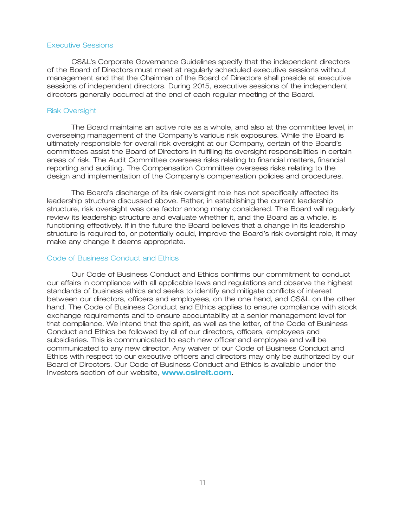#### Executive Sessions

CS&L's Corporate Governance Guidelines specify that the independent directors of the Board of Directors must meet at regularly scheduled executive sessions without management and that the Chairman of the Board of Directors shall preside at executive sessions of independent directors. During 2015, executive sessions of the independent directors generally occurred at the end of each regular meeting of the Board.

#### Risk Oversight

The Board maintains an active role as a whole, and also at the committee level, in overseeing management of the Company's various risk exposures. While the Board is ultimately responsible for overall risk oversight at our Company, certain of the Board's committees assist the Board of Directors in fulfilling its oversight responsibilities in certain areas of risk. The Audit Committee oversees risks relating to financial matters, financial reporting and auditing. The Compensation Committee oversees risks relating to the design and implementation of the Company's compensation policies and procedures.

The Board's discharge of its risk oversight role has not specifically affected its leadership structure discussed above. Rather, in establishing the current leadership structure, risk oversight was one factor among many considered. The Board will regularly review its leadership structure and evaluate whether it, and the Board as a whole, is functioning effectively. If in the future the Board believes that a change in its leadership structure is required to, or potentially could, improve the Board's risk oversight role, it may make any change it deems appropriate.

### Code of Business Conduct and Ethics

Our Code of Business Conduct and Ethics confirms our commitment to conduct our affairs in compliance with all applicable laws and regulations and observe the highest standards of business ethics and seeks to identify and mitigate conflicts of interest between our directors, officers and employees, on the one hand, and CS&L on the other hand. The Code of Business Conduct and Ethics applies to ensure compliance with stock exchange requirements and to ensure accountability at a senior management level for that compliance. We intend that the spirit, as well as the letter, of the Code of Business Conduct and Ethics be followed by all of our directors, officers, employees and subsidiaries. This is communicated to each new officer and employee and will be communicated to any new director. Any waiver of our Code of Business Conduct and Ethics with respect to our executive officers and directors may only be authorized by our Board of Directors. Our Code of Business Conduct and Ethics is available under the Investors section of our website, **www.cslreit.com**.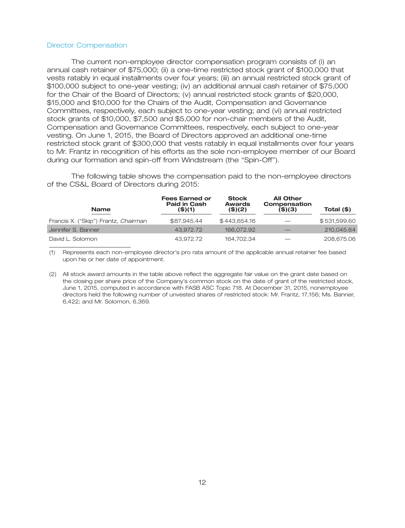#### Director Compensation

The current non-employee director compensation program consists of (i) an annual cash retainer of \$75,000; (ii) a one-time restricted stock grant of \$100,000 that vests ratably in equal installments over four years; (iii) an annual restricted stock grant of \$100,000 subject to one-year vesting; (iv) an additional annual cash retainer of \$75,000 for the Chair of the Board of Directors; (v) annual restricted stock grants of \$20,000, \$15,000 and \$10,000 for the Chairs of the Audit, Compensation and Governance Committees, respectively, each subject to one-year vesting; and (vi) annual restricted stock grants of \$10,000, \$7,500 and \$5,000 for non-chair members of the Audit, Compensation and Governance Committees, respectively, each subject to one-year vesting. On June 1, 2015, the Board of Directors approved an additional one-time restricted stock grant of \$300,000 that vests ratably in equal installments over four years to Mr. Frantz in recognition of his efforts as the sole non-employee member of our Board during our formation and spin-off from Windstream (the ''Spin-Off'').

The following table shows the compensation paid to the non-employee directors of the CS&L Board of Directors during 2015:

| <b>Name</b>                          | <b>Fees Earned or</b><br><b>Paid in Cash</b><br>(\$)(1) | <b>Stock</b><br><b>Awards</b><br>(\$)(2) | <b>All Other</b><br>Compensation<br>$($ \$ $)(3)$ | Total (\$)   |
|--------------------------------------|---------------------------------------------------------|------------------------------------------|---------------------------------------------------|--------------|
| Francis X. ("Skip") Frantz, Chairman | \$87,945,44                                             | \$443,654,16                             |                                                   | \$531,599.60 |
| Jennifer S. Banner                   | 43.972.72                                               | 166,072,92                               |                                                   | 210,045.64   |
| David L. Solomon                     | 43.972.72                                               | 164.702.34                               |                                                   | 208,675.06   |

(1) Represents each non-employee director's pro rata amount of the applicable annual retainer fee based upon his or her date of appointment.

(2) All stock award amounts in the table above reflect the aggregate fair value on the grant date based on the closing per share price of the Company's common stock on the date of grant of the restricted stock, June 1, 2015, computed in accordance with FASB ASC Topic 718. At December 31, 2015, nonemployee directors held the following number of unvested shares of restricted stock: Mr. Frantz, 17,156; Ms. Banner, 6,422; and Mr. Solomon, 6,369.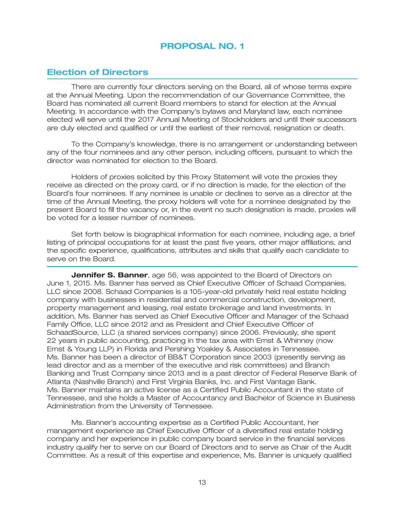### **Election of Directors**

There are currently four directors serving on the Board, all of whose terms expire at the Annual Meeting. Upon the recommendation of our Governance Committee, the Board has nominated all current Board members to stand for election at the Annual Meeting. In accordance with the Company's bylaws and Maryland law, each nominee elected will serve until the 2017 Annual Meeting of Stockholders and until their successors are duly elected and qualified or until the earliest of their removal, resignation or death.

To the Company's knowledge, there is no arrangement or understanding between any of the four nominees and any other person, including officers, pursuant to which the director was nominated for election to the Board.

Holders of proxies solicited by this Proxy Statement will vote the proxies they receive as directed on the proxy card, or if no direction is made, for the election of the Board's four nominees. If any nominee is unable or declines to serve as a director at the time of the Annual Meeting, the proxy holders will vote for a nominee designated by the present Board to fill the vacancy or, in the event no such designation is made, proxies will be voted for a lesser number of nominees.

Set forth below is biographical information for each nominee, including age, a brief listing of principal occupations for at least the past five years, other major affiliations, and the specific experience, qualifications, attributes and skills that qualify each candidate to serve on the Board.

**Jennifer S. Banner**, age 56, was appointed to the Board of Directors on June 1, 2015. Ms. Banner has served as Chief Executive Officer of Schaad Companies, LLC since 2008. Schaad Companies is a 105-year-old privately held real estate holding company with businesses in residential and commercial construction, development, property management and leasing, real estate brokerage and land investments. In addition, Ms. Banner has served as Chief Executive Officer and Manager of the Schaad Family Office, LLC since 2012 and as President and Chief Executive Officer of SchaadSource, LLC (a shared services company) since 2006. Previously, she spent 22 years in public accounting, practicing in the tax area with Ernst & Whinney (now Ernst & Young LLP) in Florida and Pershing Yoakley & Associates in Tennessee. Ms. Banner has been a director of BB&T Corporation since 2003 (presently serving as lead director and as a member of the executive and risk committees) and Branch Banking and Trust Company since 2013 and is a past director of Federal Reserve Bank of Atlanta (Nashville Branch) and First Virginia Banks, Inc. and First Vantage Bank. Ms. Banner maintains an active license as a Certified Public Accountant in the state of Tennessee, and she holds a Master of Accountancy and Bachelor of Science in Business Administration from the University of Tennessee.

Ms. Banner's accounting expertise as a Certified Public Accountant, her management experience as Chief Executive Officer of a diversified real estate holding company and her experience in public company board service in the financial services industry qualify her to serve on our Board of Directors and to serve as Chair of the Audit Committee. As a result of this expertise and experience, Ms. Banner is uniquely qualified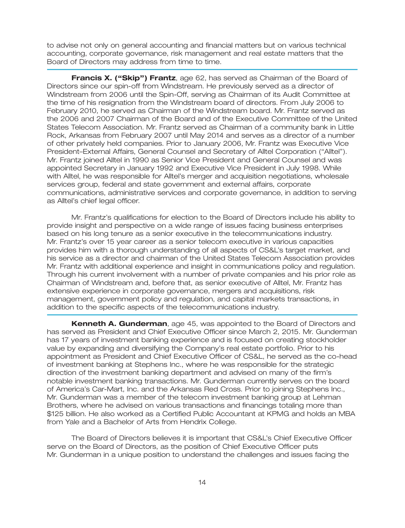to advise not only on general accounting and financial matters but on various technical accounting, corporate governance, risk management and real estate matters that the Board of Directors may address from time to time.

**Francis X. (''Skip'') Frantz**, age 62, has served as Chairman of the Board of Directors since our spin-off from Windstream. He previously served as a director of Windstream from 2006 until the Spin-Off, serving as Chairman of its Audit Committee at the time of his resignation from the Windstream board of directors. From July 2006 to February 2010, he served as Chairman of the Windstream board. Mr. Frantz served as the 2006 and 2007 Chairman of the Board and of the Executive Committee of the United States Telecom Association. Mr. Frantz served as Chairman of a community bank in Little Rock, Arkansas from February 2007 until May 2014 and serves as a director of a number of other privately held companies. Prior to January 2006, Mr. Frantz was Executive Vice President–External Affairs, General Counsel and Secretary of Alltel Corporation (''Alltel''). Mr. Frantz joined Alltel in 1990 as Senior Vice President and General Counsel and was appointed Secretary in January 1992 and Executive Vice President in July 1998. While with Alltel, he was responsible for Alltel's merger and acquisition negotiations, wholesale services group, federal and state government and external affairs, corporate communications, administrative services and corporate governance, in addition to serving as Alltel's chief legal officer.

Mr. Frantz's qualifications for election to the Board of Directors include his ability to provide insight and perspective on a wide range of issues facing business enterprises based on his long tenure as a senior executive in the telecommunications industry. Mr. Frantz's over 15 year career as a senior telecom executive in various capacities provides him with a thorough understanding of all aspects of CS&L's target market, and his service as a director and chairman of the United States Telecom Association provides Mr. Frantz with additional experience and insight in communications policy and regulation. Through his current involvement with a number of private companies and his prior role as Chairman of Windstream and, before that, as senior executive of Alltel, Mr. Frantz has extensive experience in corporate governance, mergers and acquisitions, risk management, government policy and regulation, and capital markets transactions, in addition to the specific aspects of the telecommunications industry.

**Kenneth A. Gunderman**, age 45, was appointed to the Board of Directors and has served as President and Chief Executive Officer since March 2, 2015. Mr. Gunderman has 17 years of investment banking experience and is focused on creating stockholder value by expanding and diversifying the Company's real estate portfolio. Prior to his appointment as President and Chief Executive Officer of CS&L, he served as the co-head of investment banking at Stephens Inc., where he was responsible for the strategic direction of the investment banking department and advised on many of the firm's notable investment banking transactions. Mr. Gunderman currently serves on the board of America's Car-Mart, Inc. and the Arkansas Red Cross. Prior to joining Stephens Inc., Mr. Gunderman was a member of the telecom investment banking group at Lehman Brothers, where he advised on various transactions and financings totaling more than \$125 billion. He also worked as a Certified Public Accountant at KPMG and holds an MBA from Yale and a Bachelor of Arts from Hendrix College.

The Board of Directors believes it is important that CS&L's Chief Executive Officer serve on the Board of Directors, as the position of Chief Executive Officer puts Mr. Gunderman in a unique position to understand the challenges and issues facing the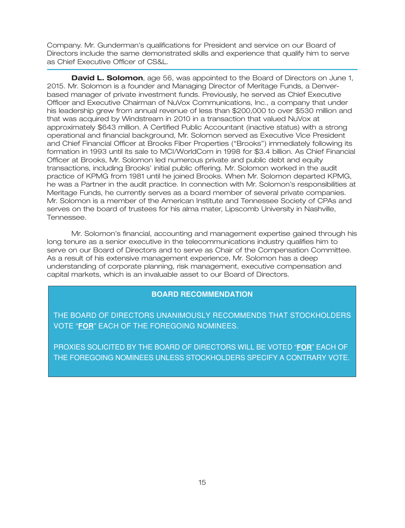Company. Mr. Gunderman's qualifications for President and service on our Board of Directors include the same demonstrated skills and experience that qualify him to serve as Chief Executive Officer of CS&L.

**David L. Solomon**, age 56, was appointed to the Board of Directors on June 1, 2015. Mr. Solomon is a founder and Managing Director of Meritage Funds, a Denverbased manager of private investment funds. Previously, he served as Chief Executive Officer and Executive Chairman of NuVox Communications, Inc., a company that under his leadership grew from annual revenue of less than \$200,000 to over \$530 million and that was acquired by Windstream in 2010 in a transaction that valued NuVox at approximately \$643 million. A Certified Public Accountant (inactive status) with a strong operational and financial background, Mr. Solomon served as Executive Vice President and Chief Financial Officer at Brooks Fiber Properties (''Brooks'') immediately following its formation in 1993 until its sale to MCI/WorldCom in 1998 for \$3.4 billion. As Chief Financial Officer at Brooks, Mr. Solomon led numerous private and public debt and equity transactions, including Brooks' initial public offering. Mr. Solomon worked in the audit practice of KPMG from 1981 until he joined Brooks. When Mr. Solomon departed KPMG, he was a Partner in the audit practice. In connection with Mr. Solomon's responsibilities at Meritage Funds, he currently serves as a board member of several private companies. Mr. Solomon is a member of the American Institute and Tennessee Society of CPAs and serves on the board of trustees for his alma mater, Lipscomb University in Nashville, Tennessee.

Mr. Solomon's financial, accounting and management expertise gained through his long tenure as a senior executive in the telecommunications industry qualifies him to serve on our Board of Directors and to serve as Chair of the Compensation Committee. As a result of his extensive management experience, Mr. Solomon has a deep understanding of corporate planning, risk management, executive compensation and capital markets, which is an invaluable asset to our Board of Directors.

### **BOARD RECOMMENDATION**

THE BOARD OF DIRECTORS UNANIMOUSLY RECOMMENDS THAT STOCKHOLDERS VOTE "**FOR**" EACH OF THE FOREGOING NOMINEES.

PROXIES SOLICITED BY THE BOARD OF DIRECTORS WILL BE VOTED "**FOR**" EACH OF THE FOREGOING NOMINEES UNLESS STOCKHOLDERS SPECIFY A CONTRARY VOTE.

30MAR201605172305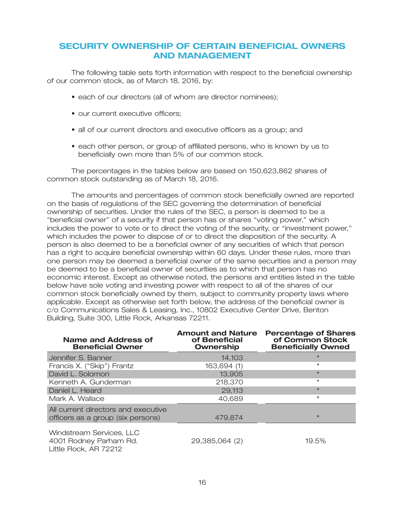### **SECURITY OWNERSHIP OF CERTAIN BENEFICIAL OWNERS AND MANAGEMENT**

The following table sets forth information with respect to the beneficial ownership of our common stock, as of March 18, 2016, by:

- each of our directors (all of whom are director nominees);
- our current executive officers;
- all of our current directors and executive officers as a group; and
- each other person, or group of affiliated persons, who is known by us to beneficially own more than 5% of our common stock.

The percentages in the tables below are based on 150,623,862 shares of common stock outstanding as of March 18, 2016.

The amounts and percentages of common stock beneficially owned are reported on the basis of regulations of the SEC governing the determination of beneficial ownership of securities. Under the rules of the SEC, a person is deemed to be a ''beneficial owner'' of a security if that person has or shares ''voting power,'' which includes the power to vote or to direct the voting of the security, or ''investment power,'' which includes the power to dispose of or to direct the disposition of the security. A person is also deemed to be a beneficial owner of any securities of which that person has a right to acquire beneficial ownership within 60 days. Under these rules, more than one person may be deemed a beneficial owner of the same securities and a person may be deemed to be a beneficial owner of securities as to which that person has no economic interest. Except as otherwise noted, the persons and entities listed in the table below have sole voting and investing power with respect to all of the shares of our common stock beneficially owned by them, subject to community property laws where applicable. Except as otherwise set forth below, the address of the beneficial owner is c/o Communications Sales & Leasing, Inc., 10802 Executive Center Drive, Benton Building, Suite 300, Little Rock, Arkansas 72211.

| <b>Name and Address of</b><br><b>Beneficial Owner</b>                       | <b>Amount and Nature</b><br>of Beneficial<br>Ownership | <b>Percentage of Shares</b><br>of Common Stock<br><b>Beneficially Owned</b> |
|-----------------------------------------------------------------------------|--------------------------------------------------------|-----------------------------------------------------------------------------|
| Jennifer S. Banner                                                          | 14.103                                                 | $\star$                                                                     |
| Francis X. ("Skip") Frantz                                                  | 163,694 (1)                                            | $\star$                                                                     |
| David L. Solomon                                                            | 13,905                                                 | $\star$                                                                     |
| Kenneth A. Gunderman                                                        | 218,370                                                | $\star$                                                                     |
| Daniel L. Heard                                                             | 29,113                                                 | $\star$                                                                     |
| Mark A. Wallace                                                             | 40,689                                                 | $\star$                                                                     |
| All current directors and executive<br>officers as a group (six persons)    | 479,874                                                | $\star$                                                                     |
| Windstream Services, LLC<br>4001 Rodney Parham Rd.<br>Little Rock, AR 72212 | 29,385,064 (2)                                         | 19.5%                                                                       |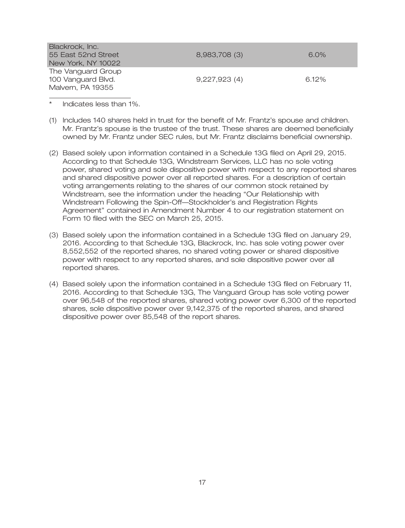| Blackrock, Inc.     |               |         |
|---------------------|---------------|---------|
| 55 East 52nd Street | 8,983,708 (3) | $6.0\%$ |
| New York, NY 10022  |               |         |
| The Vanguard Group  |               |         |
| 100 Vanguard Blvd.  | 9.227.923(4)  | 6.12%   |
| Malvern, PA 19355   |               |         |

Indicates less than 1%.

- (1) Includes 140 shares held in trust for the benefit of Mr. Frantz's spouse and children. Mr. Frantz's spouse is the trustee of the trust. These shares are deemed beneficially owned by Mr. Frantz under SEC rules, but Mr. Frantz disclaims beneficial ownership.
- (2) Based solely upon information contained in a Schedule 13G filed on April 29, 2015. According to that Schedule 13G, Windstream Services, LLC has no sole voting power, shared voting and sole dispositive power with respect to any reported shares and shared dispositive power over all reported shares. For a description of certain voting arrangements relating to the shares of our common stock retained by Windstream, see the information under the heading ''Our Relationship with Windstream Following the Spin-Off—Stockholder's and Registration Rights Agreement'' contained in Amendment Number 4 to our registration statement on Form 10 filed with the SEC on March 25, 2015.
- (3) Based solely upon the information contained in a Schedule 13G filed on January 29, 2016. According to that Schedule 13G, Blackrock, Inc. has sole voting power over 8,552,552 of the reported shares, no shared voting power or shared dispositive power with respect to any reported shares, and sole dispositive power over all reported shares.
- (4) Based solely upon the information contained in a Schedule 13G filed on February 11, 2016. According to that Schedule 13G, The Vanguard Group has sole voting power over 96,548 of the reported shares, shared voting power over 6,300 of the reported shares, sole dispositive power over 9,142,375 of the reported shares, and shared dispositive power over 85,548 of the report shares.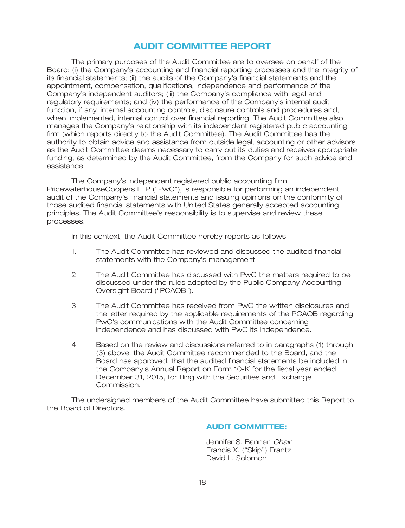### **AUDIT COMMITTEE REPORT**

The primary purposes of the Audit Committee are to oversee on behalf of the Board: (i) the Company's accounting and financial reporting processes and the integrity of its financial statements; (ii) the audits of the Company's financial statements and the appointment, compensation, qualifications, independence and performance of the Company's independent auditors; (iii) the Company's compliance with legal and regulatory requirements; and (iv) the performance of the Company's internal audit function, if any, internal accounting controls, disclosure controls and procedures and, when implemented, internal control over financial reporting. The Audit Committee also manages the Company's relationship with its independent registered public accounting firm (which reports directly to the Audit Committee). The Audit Committee has the authority to obtain advice and assistance from outside legal, accounting or other advisors as the Audit Committee deems necessary to carry out its duties and receives appropriate funding, as determined by the Audit Committee, from the Company for such advice and assistance.

The Company's independent registered public accounting firm, PricewaterhouseCoopers LLP (''PwC''), is responsible for performing an independent audit of the Company's financial statements and issuing opinions on the conformity of those audited financial statements with United States generally accepted accounting principles. The Audit Committee's responsibility is to supervise and review these processes.

In this context, the Audit Committee hereby reports as follows:

- 1. The Audit Committee has reviewed and discussed the audited financial statements with the Company's management.
- 2. The Audit Committee has discussed with PwC the matters required to be discussed under the rules adopted by the Public Company Accounting Oversight Board ("PCAOB").
- 3. The Audit Committee has received from PwC the written disclosures and the letter required by the applicable requirements of the PCAOB regarding PwC's communications with the Audit Committee concerning independence and has discussed with PwC its independence.
- 4. Based on the review and discussions referred to in paragraphs (1) through (3) above, the Audit Committee recommended to the Board, and the Board has approved, that the audited financial statements be included in the Company's Annual Report on Form 10-K for the fiscal year ended December 31, 2015, for filing with the Securities and Exchange Commission.

The undersigned members of the Audit Committee have submitted this Report to the Board of Directors.

### **AUDIT COMMITTEE:**

Jennifer S. Banner, *Chair* Francis X. ("Skip") Frantz David L. Solomon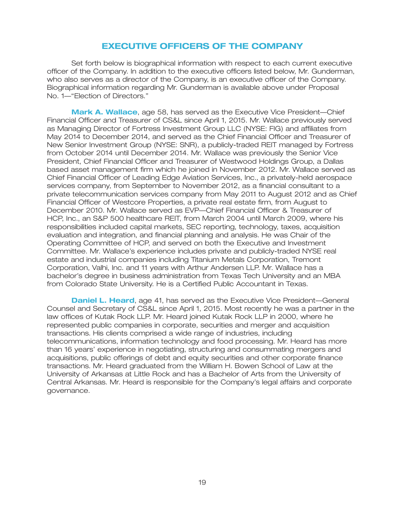### **EXECUTIVE OFFICERS OF THE COMPANY**

Set forth below is biographical information with respect to each current executive officer of the Company. In addition to the executive officers listed below, Mr. Gunderman, who also serves as a director of the Company, is an executive officer of the Company. Biographical information regarding Mr. Gunderman is available above under Proposal No. 1—''Election of Directors.''

**Mark A. Wallace**, age 58, has served as the Executive Vice President—Chief Financial Officer and Treasurer of CS&L since April 1, 2015. Mr. Wallace previously served as Managing Director of Fortress Investment Group LLC (NYSE: FIG) and affiliates from May 2014 to December 2014, and served as the Chief Financial Officer and Treasurer of New Senior Investment Group (NYSE: SNR), a publicly-traded REIT managed by Fortress from October 2014 until December 2014. Mr. Wallace was previously the Senior Vice President, Chief Financial Officer and Treasurer of Westwood Holdings Group, a Dallas based asset management firm which he joined in November 2012. Mr. Wallace served as Chief Financial Officer of Leading Edge Aviation Services, Inc., a privately-held aerospace services company, from September to November 2012, as a financial consultant to a private telecommunication services company from May 2011 to August 2012 and as Chief Financial Officer of Westcore Properties, a private real estate firm, from August to December 2010. Mr. Wallace served as EVP—Chief Financial Officer & Treasurer of HCP, Inc., an S&P 500 healthcare REIT, from March 2004 until March 2009, where his responsibilities included capital markets, SEC reporting, technology, taxes, acquisition evaluation and integration, and financial planning and analysis. He was Chair of the Operating Committee of HCP, and served on both the Executive and Investment Committee. Mr. Wallace's experience includes private and publicly-traded NYSE real estate and industrial companies including Titanium Metals Corporation, Tremont Corporation, Valhi, Inc. and 11 years with Arthur Andersen LLP. Mr. Wallace has a bachelor's degree in business administration from Texas Tech University and an MBA from Colorado State University. He is a Certified Public Accountant in Texas.

**Daniel L. Heard**, age 41, has served as the Executive Vice President—General Counsel and Secretary of CS&L since April 1, 2015. Most recently he was a partner in the law offices of Kutak Rock LLP. Mr. Heard joined Kutak Rock LLP in 2000, where he represented public companies in corporate, securities and merger and acquisition transactions. His clients comprised a wide range of industries, including telecommunications, information technology and food processing. Mr. Heard has more than 16 years' experience in negotiating, structuring and consummating mergers and acquisitions, public offerings of debt and equity securities and other corporate finance transactions. Mr. Heard graduated from the William H. Bowen School of Law at the University of Arkansas at Little Rock and has a Bachelor of Arts from the University of Central Arkansas. Mr. Heard is responsible for the Company's legal affairs and corporate governance.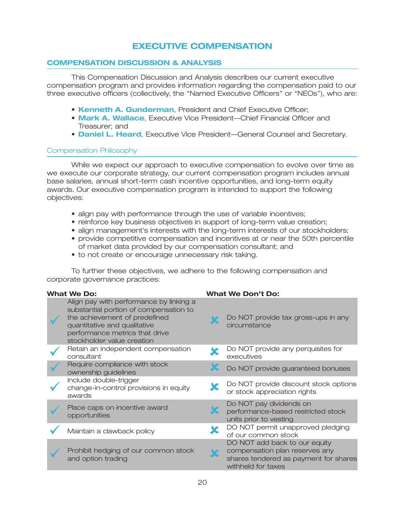# **EXECUTIVE COMPENSATION**

### **COMPENSATION DISCUSSION & ANALYSIS**

This Compensation Discussion and Analysis describes our current executive compensation program and provides information regarding the compensation paid to our three executive officers (collectively, the ''Named Executive Officers'' or ''NEOs''), who are:

- **Kenneth A. Gunderman, President and Chief Executive Officer;**
- **Mark A. Wallace**, Executive Vice President—Chief Financial Officer and Treasurer; and
- **Daniel L. Heard**, Executive Vice President—General Counsel and Secretary.

### Compensation Philosophy

While we expect our approach to executive compensation to evolve over time as we execute our corporate strategy, our current compensation program includes annual base salaries, annual short-term cash incentive opportunities, and long-term equity awards. Our executive compensation program is intended to support the following objectives:

- align pay with performance through the use of variable incentives;
- reinforce key business objectives in support of long-term value creation;
- align management's interests with the long-term interests of our stockholders;
- provide competitive compensation and incentives at or near the 50th percentile of market data provided by our compensation consultant; and
- to not create or encourage unnecessary risk taking.

To further these objectives, we adhere to the following compensation and corporate governance practices:

| <b>What We Do:</b>                                                                                                                                                                                                 | <b>What We Don't Do:</b>                                                                                                       |
|--------------------------------------------------------------------------------------------------------------------------------------------------------------------------------------------------------------------|--------------------------------------------------------------------------------------------------------------------------------|
| Align pay with performance by linking a<br>substantial portion of compensation to<br>the achievement of predefined<br>quantitative and qualitative<br>performance metrics that drive<br>stockholder value creation | Do NOT provide tax gross-ups in any<br>circumstance                                                                            |
| Retain an independent compensation<br>consultant                                                                                                                                                                   | Do NOT provide any perquisites for<br>executives                                                                               |
| Require compliance with stock<br>ownership guidelines                                                                                                                                                              | Do NOT provide guaranteed bonuses                                                                                              |
| Include double-trigger<br>change-in-control provisions in equity<br>awards                                                                                                                                         | Do NOT provide discount stock options<br>or stock appreciation rights                                                          |
| Place caps on incentive award<br>opportunities                                                                                                                                                                     | Do NOT pay dividends on<br>performance-based restricted stock<br>units prior to vesting                                        |
| Maintain a clawback policy                                                                                                                                                                                         | DO NOT permit unapproved pledging<br>of our common stock                                                                       |
| Prohibit hedging of our common stock<br>and option trading                                                                                                                                                         | DO NOT add back to our equity<br>compensation plan reserves any<br>shares tendered as payment for shares<br>withheld for taxes |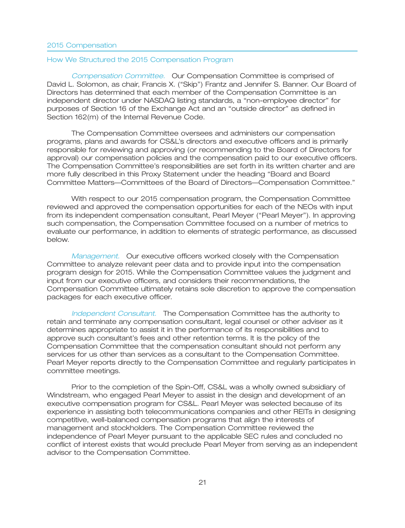#### How We Structured the 2015 Compensation Program

*Compensation Committee.* Our Compensation Committee is comprised of David L. Solomon, as chair, Francis X. (''Skip'') Frantz and Jennifer S. Banner. Our Board of Directors has determined that each member of the Compensation Committee is an independent director under NASDAQ listing standards, a ''non-employee director'' for purposes of Section 16 of the Exchange Act and an ''outside director'' as defined in Section 162(m) of the Internal Revenue Code.

The Compensation Committee oversees and administers our compensation programs, plans and awards for CS&L's directors and executive officers and is primarily responsible for reviewing and approving (or recommending to the Board of Directors for approval) our compensation policies and the compensation paid to our executive officers. The Compensation Committee's responsibilities are set forth in its written charter and are more fully described in this Proxy Statement under the heading ''Board and Board Committee Matters—Committees of the Board of Directors—Compensation Committee.''

With respect to our 2015 compensation program, the Compensation Committee reviewed and approved the compensation opportunities for each of the NEOs with input from its independent compensation consultant, Pearl Meyer (''Pearl Meyer''). In approving such compensation, the Compensation Committee focused on a number of metrics to evaluate our performance, in addition to elements of strategic performance, as discussed below.

*Management.* Our executive officers worked closely with the Compensation Committee to analyze relevant peer data and to provide input into the compensation program design for 2015. While the Compensation Committee values the judgment and input from our executive officers, and considers their recommendations, the Compensation Committee ultimately retains sole discretion to approve the compensation packages for each executive officer.

*Independent Consultant.* The Compensation Committee has the authority to retain and terminate any compensation consultant, legal counsel or other adviser as it determines appropriate to assist it in the performance of its responsibilities and to approve such consultant's fees and other retention terms. It is the policy of the Compensation Committee that the compensation consultant should not perform any services for us other than services as a consultant to the Compensation Committee. Pearl Meyer reports directly to the Compensation Committee and regularly participates in committee meetings.

Prior to the completion of the Spin-Off, CS&L was a wholly owned subsidiary of Windstream, who engaged Pearl Meyer to assist in the design and development of an executive compensation program for CS&L. Pearl Meyer was selected because of its experience in assisting both telecommunications companies and other REITs in designing competitive, well-balanced compensation programs that align the interests of management and stockholders. The Compensation Committee reviewed the independence of Pearl Meyer pursuant to the applicable SEC rules and concluded no conflict of interest exists that would preclude Pearl Meyer from serving as an independent advisor to the Compensation Committee.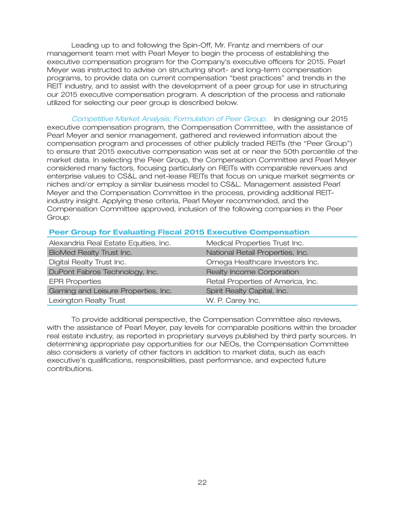Leading up to and following the Spin-Off, Mr. Frantz and members of our management team met with Pearl Meyer to begin the process of establishing the executive compensation program for the Company's executive officers for 2015. Pearl Meyer was instructed to advise on structuring short- and long-term compensation programs, to provide data on current compensation ''best practices'' and trends in the REIT industry, and to assist with the development of a peer group for use in structuring our 2015 executive compensation program. A description of the process and rationale utilized for selecting our peer group is described below.

*Competitive Market Analysis; Formulation of Peer Group.* In designing our 2015 executive compensation program, the Compensation Committee, with the assistance of Pearl Meyer and senior management, gathered and reviewed information about the compensation program and processes of other publicly traded REITs (the ''Peer Group'') to ensure that 2015 executive compensation was set at or near the 50th percentile of the market data. In selecting the Peer Group, the Compensation Committee and Pearl Meyer considered many factors, focusing particularly on REITs with comparable revenues and enterprise values to CS&L and net-lease REITs that focus on unique market segments or niches and/or employ a similar business model to CS&L. Management assisted Pearl Meyer and the Compensation Committee in the process, providing additional REITindustry insight. Applying these criteria, Pearl Meyer recommended, and the Compensation Committee approved, inclusion of the following companies in the Peer Group:

### **Peer Group for Evaluating Fiscal 2015 Executive Compensation**

| Alexandria Real Estate Equities, Inc. | Medical Properties Trust Inc.      |
|---------------------------------------|------------------------------------|
| <b>BioMed Realty Trust Inc.</b>       | National Retail Properties, Inc.   |
| Digital Realty Trust Inc.             | Omega Healthcare Investors Inc.    |
| DuPont Fabros Technology, Inc.        | Realty Income Corporation          |
| <b>EPR Properties</b>                 | Retail Properties of America, Inc. |
| Gaming and Leisure Properties, Inc.   | Spirit Realty Capital, Inc.        |
| Lexington Realty Trust                | W. P. Carey Inc.                   |

To provide additional perspective, the Compensation Committee also reviews, with the assistance of Pearl Meyer, pay levels for comparable positions within the broader real estate industry, as reported in proprietary surveys published by third party sources. In determining appropriate pay opportunities for our NEOs, the Compensation Committee also considers a variety of other factors in addition to market data, such as each executive's qualifications, responsibilities, past performance, and expected future contributions.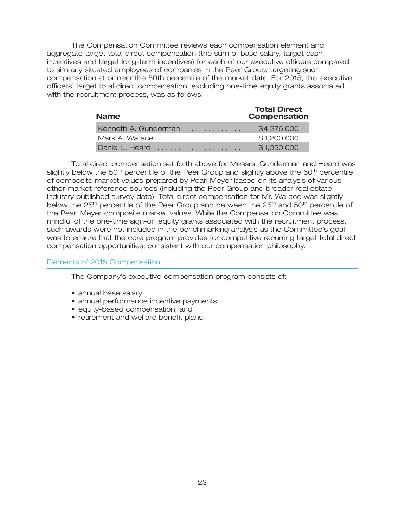The Compensation Committee reviews each compensation element and aggregate target total direct compensation (the sum of base salary, target cash incentives and target long-term incentives) for each of our executive officers compared to similarly situated employees of companies in the Peer Group, targeting such compensation at or near the 50th percentile of the market data. For 2015, the executive officers' target total direct compensation, excluding one-time equity grants associated with the recruitment process, was as follows:

| <b>Name</b>          | <b>Total Direct</b><br><b>Compensation</b> |
|----------------------|--------------------------------------------|
| Kenneth A. Gunderman | \$4,376,000                                |
| Mark A. Wallace      | \$1,200,000                                |
|                      | \$1,050,000                                |

Total direct compensation set forth above for Messrs. Gunderman and Heard was slightly below the 50<sup>th</sup> percentile of the Peer Group and slightly above the 50<sup>th</sup> percentile of composite market values prepared by Pearl Meyer based on its analysis of various other market reference sources (including the Peer Group and broader real estate industry published survey data). Total direct compensation for Mr. Wallace was slightly below the  $25<sup>th</sup>$  percentile of the Peer Group and between the  $25<sup>th</sup>$  and  $50<sup>th</sup>$  percentile of the Pearl Meyer composite market values. While the Compensation Committee was mindful of the one-time sign-on equity grants associated with the recruitment process, such awards were not included in the benchmarking analysis as the Committee's goal was to ensure that the core program provides for competitive recurring target total direct compensation opportunities, consistent with our compensation philosophy.

### Elements of 2015 Compensation

The Company's executive compensation program consists of:

- annual base salary;
- annual performance incentive payments;
- equity-based compensation; and
- retirement and welfare benefit plans.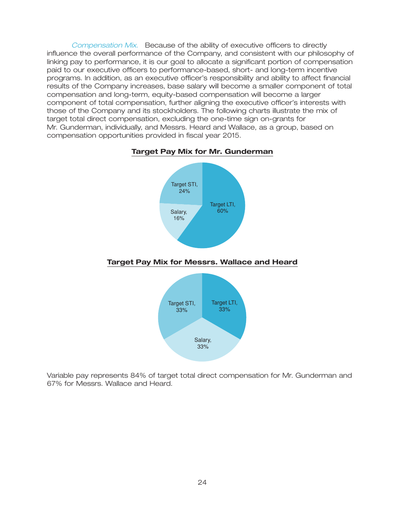*Compensation Mix.* Because of the ability of executive officers to directly influence the overall performance of the Company, and consistent with our philosophy of linking pay to performance, it is our goal to allocate a significant portion of compensation paid to our executive officers to performance-based, short- and long-term incentive programs. In addition, as an executive officer's responsibility and ability to affect financial results of the Company increases, base salary will become a smaller component of total compensation and long-term, equity-based compensation will become a larger component of total compensation, further aligning the executive officer's interests with those of the Company and its stockholders. The following charts illustrate the mix of target total direct compensation, excluding the one-time sign on-grants for Mr. Gunderman, individually, and Messrs. Heard and Wallace, as a group, based on compensation opportunities provided in fiscal year 2015.

### **Target Pay Mix for Mr. Gunderman**



#### **Target Pay Mix for Messrs. Wallace and Heard**



Variable pay represents 84% of target total direct compensation for Mr. Gunderman and 67% for Messrs. Wallace and Heard.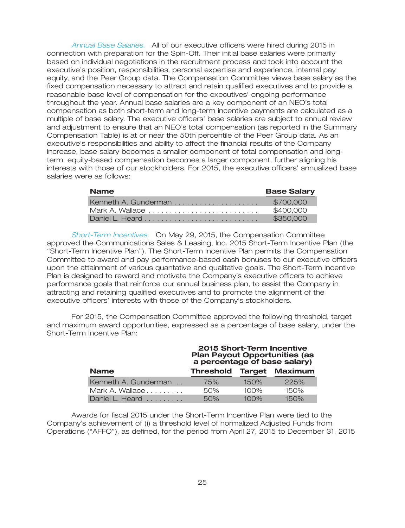*Annual Base Salaries.* All of our executive officers were hired during 2015 in connection with preparation for the Spin-Off. Their initial base salaries were primarily based on individual negotiations in the recruitment process and took into account the executive's position, responsibilities, personal expertise and experience, internal pay equity, and the Peer Group data. The Compensation Committee views base salary as the fixed compensation necessary to attract and retain qualified executives and to provide a reasonable base level of compensation for the executives' ongoing performance throughout the year. Annual base salaries are a key component of an NEO's total compensation as both short-term and long-term incentive payments are calculated as a multiple of base salary. The executive officers' base salaries are subject to annual review and adjustment to ensure that an NEO's total compensation (as reported in the Summary Compensation Table) is at or near the 50th percentile of the Peer Group data. As an executive's responsibilities and ability to affect the financial results of the Company increase, base salary becomes a smaller component of total compensation and longterm, equity-based compensation becomes a larger component, further aligning his interests with those of our stockholders. For 2015, the executive officers' annualized base salaries were as follows:

| <b>Name</b> | <b>Base Salary</b> |
|-------------|--------------------|
|             | \$700.000          |
|             | \$400,000          |
|             | \$350,000          |

*Short-Term Incentives.* On May 29, 2015, the Compensation Committee approved the Communications Sales & Leasing, Inc. 2015 Short-Term Incentive Plan (the ''Short-Term Incentive Plan''). The Short-Term Incentive Plan permits the Compensation Committee to award and pay performance-based cash bonuses to our executive officers upon the attainment of various quantative and qualitative goals. The Short-Term Incentive Plan is designed to reward and motivate the Company's executive officers to achieve performance goals that reinforce our annual business plan, to assist the Company in attracting and retaining qualified executives and to promote the alignment of the executive officers' interests with those of the Company's stockholders.

For 2015, the Compensation Committee approved the following threshold, target and maximum award opportunities, expressed as a percentage of base salary, under the Short-Term Incentive Plan:

| 2015 Short-Term Incentive<br><b>Plan Payout Opportunities (as</b><br>a percentage of base salary) |                                 |         |      |  |
|---------------------------------------------------------------------------------------------------|---------------------------------|---------|------|--|
| <b>Name</b>                                                                                       | <b>Threshold Target Maximum</b> |         |      |  |
| Kenneth A. Gunderman                                                                              | 75%                             | 150%    | 225% |  |
| Mark A. Wallace                                                                                   | 50%                             | 100%    | 150% |  |
| Daniel L. Heard                                                                                   | 50%                             | $100\%$ | 150% |  |

Awards for fiscal 2015 under the Short-Term Incentive Plan were tied to the Company's achievement of (i) a threshold level of normalized Adjusted Funds from Operations (''AFFO''), as defined, for the period from April 27, 2015 to December 31, 2015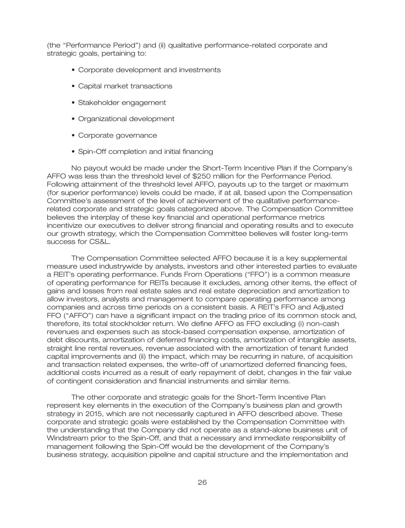(the ''Performance Period'') and (ii) qualitative performance-related corporate and strategic goals, pertaining to:

- Corporate development and investments
- Capital market transactions
- Stakeholder engagement
- Organizational development
- Corporate governance
- Spin-Off completion and initial financing

No payout would be made under the Short-Term Incentive Plan if the Company's AFFO was less than the threshold level of \$250 million for the Performance Period. Following attainment of the threshold level AFFO, payouts up to the target or maximum (for superior performance) levels could be made, if at all, based upon the Compensation Committee's assessment of the level of achievement of the qualitative performancerelated corporate and strategic goals categorized above. The Compensation Committee believes the interplay of these key financial and operational performance metrics incentivize our executives to deliver strong financial and operating results and to execute our growth strategy, which the Compensation Committee believes will foster long-term success for CS&L.

The Compensation Committee selected AFFO because it is a key supplemental measure used industrywide by analysts, investors and other interested parties to evaluate a REIT's operating performance. Funds From Operations (''FFO'') is a common measure of operating performance for REITs because it excludes, among other items, the effect of gains and losses from real estate sales and real estate depreciation and amortization to allow investors, analysts and management to compare operating performance among companies and across time periods on a consistent basis. A REIT's FFO and Adjusted FFO (''AFFO'') can have a significant impact on the trading price of its common stock and, therefore, its total stockholder return. We define AFFO as FFO excluding (i) non-cash revenues and expenses such as stock-based compensation expense, amortization of debt discounts, amortization of deferred financing costs, amortization of intangible assets, straight line rental revenues, revenue associated with the amortization of tenant funded capital improvements and (ii) the impact, which may be recurring in nature, of acquisition and transaction related expenses, the write-off of unamortized deferred financing fees, additional costs incurred as a result of early repayment of debt, changes in the fair value of contingent consideration and financial instruments and similar items.

The other corporate and strategic goals for the Short-Term Incentive Plan represent key elements in the execution of the Company's business plan and growth strategy in 2015, which are not necessarily captured in AFFO described above. These corporate and strategic goals were established by the Compensation Committee with the understanding that the Company did not operate as a stand-alone business unit of Windstream prior to the Spin-Off, and that a necessary and immediate responsibility of management following the Spin-Off would be the development of the Company's business strategy, acquisition pipeline and capital structure and the implementation and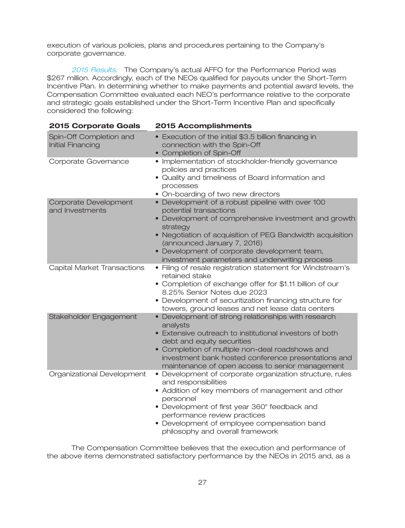execution of various policies, plans and procedures pertaining to the Company's corporate governance.

*2015 Results.* The Company's actual AFFO for the Performance Period was \$267 million. Accordingly, each of the NEOs qualified for payouts under the Short-Term Incentive Plan. In determining whether to make payments and potential award levels, the Compensation Committee evaluated each NEO's performance relative to the corporate and strategic goals established under the Short-Term Incentive Plan and specifically considered the following:

| <b>2015 Corporate Goals</b>                  | <b>2015 Accomplishments</b>                                                                                                                                                                                                                                                                                                                  |
|----------------------------------------------|----------------------------------------------------------------------------------------------------------------------------------------------------------------------------------------------------------------------------------------------------------------------------------------------------------------------------------------------|
| Spin-Off Completion and<br>Initial Financing | • Execution of the initial \$3.5 billion financing in<br>connection with the Spin-Off<br>• Completion of Spin-Off                                                                                                                                                                                                                            |
| Corporate Governance                         | • Implementation of stockholder-friendly governance<br>policies and practices<br>• Quality and timeliness of Board information and<br>processes<br>• On-boarding of two new directors                                                                                                                                                        |
| Corporate Development<br>and Investments     | • Development of a robust pipeline with over 100<br>potential transactions<br>• Development of comprehensive investment and growth<br>strategy<br>• Negotiation of acquisition of PEG Bandwidth acquisition<br>(announced January 7, 2016)<br>• Development of corporate development team,<br>investment parameters and underwriting process |
| Capital Market Transactions                  | · Filing of resale registration statement for Windstream's<br>retained stake<br>• Completion of exchange offer for \$1.11 billion of our<br>8.25% Senior Notes due 2023<br>• Development of securitization financing structure for<br>towers, ground leases and net lease data centers                                                       |
| Stakeholder Engagement                       | • Development of strong relationships with research<br>analysts<br>• Extensive outreach to institutional investors of both<br>debt and equity securities<br>• Completion of multiple non-deal roadshows and<br>investment bank hosted conference presentations and<br>maintenance of open access to senior management                        |
| Organizational Development                   | • Development of corporate organization structure, rules<br>and responsibilities<br>• Addition of key members of management and other<br>personnel<br>• Development of first year 360° feedback and<br>performance review practices<br>• Development of employee compensation band<br>philosophy and overall framework                       |

The Compensation Committee believes that the execution and performance of the above items demonstrated satisfactory performance by the NEOs in 2015 and, as a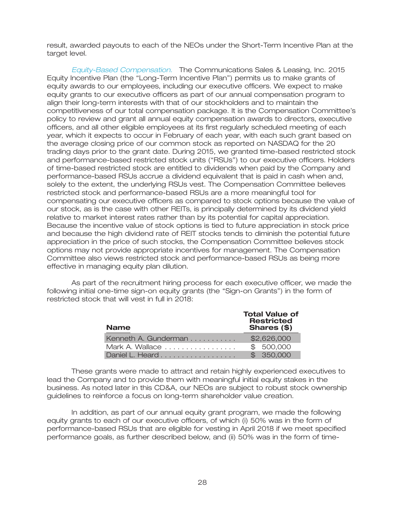result, awarded payouts to each of the NEOs under the Short-Term Incentive Plan at the target level.

*Equity-Based Compensation.* The Communications Sales & Leasing, Inc. 2015 Equity Incentive Plan (the ''Long-Term Incentive Plan'') permits us to make grants of equity awards to our employees, including our executive officers. We expect to make equity grants to our executive officers as part of our annual compensation program to align their long-term interests with that of our stockholders and to maintain the competitiveness of our total compensation package. It is the Compensation Committee's policy to review and grant all annual equity compensation awards to directors, executive officers, and all other eligible employees at its first regularly scheduled meeting of each year, which it expects to occur in February of each year, with each such grant based on the average closing price of our common stock as reported on NASDAQ for the 20 trading days prior to the grant date. During 2015, we granted time-based restricted stock and performance-based restricted stock units (''RSUs'') to our executive officers. Holders of time-based restricted stock are entitled to dividends when paid by the Company and performance-based RSUs accrue a dividend equivalent that is paid in cash when and, solely to the extent, the underlying RSUs vest. The Compensation Committee believes restricted stock and performance-based RSUs are a more meaningful tool for compensating our executive officers as compared to stock options because the value of our stock, as is the case with other REITs, is principally determined by its dividend yield relative to market interest rates rather than by its potential for capital appreciation. Because the incentive value of stock options is tied to future appreciation in stock price and because the high dividend rate of REIT stocks tends to diminish the potential future appreciation in the price of such stocks, the Compensation Committee believes stock options may not provide appropriate incentives for management. The Compensation Committee also views restricted stock and performance-based RSUs as being more effective in managing equity plan dilution.

As part of the recruitment hiring process for each executive officer, we made the following initial one-time sign-on equity grants (the ''Sign-on Grants'') in the form of restricted stock that will vest in full in 2018:

| <b>Name</b>          | <b>Total Value of</b><br><b>Restricted</b><br>Shares (\$) |
|----------------------|-----------------------------------------------------------|
| Kenneth A. Gunderman | \$2,626,000                                               |
| Mark A. Wallace      | \$500,000                                                 |
| Daniel L. Heard      | \$350.000                                                 |

These grants were made to attract and retain highly experienced executives to lead the Company and to provide them with meaningful initial equity stakes in the business. As noted later in this CD&A, our NEOs are subject to robust stock ownership guidelines to reinforce a focus on long-term shareholder value creation.

In addition, as part of our annual equity grant program, we made the following equity grants to each of our executive officers, of which (i) 50% was in the form of performance-based RSUs that are eligible for vesting in April 2018 if we meet specified performance goals, as further described below, and (ii) 50% was in the form of time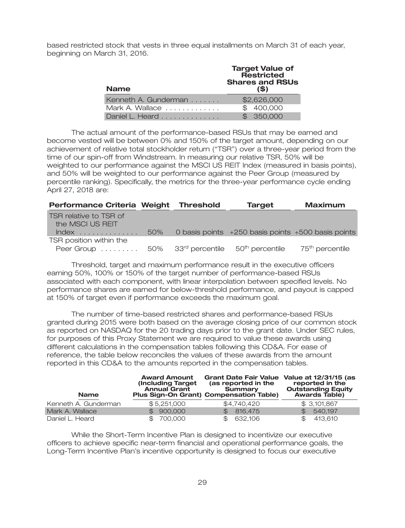based restricted stock that vests in three equal installments on March 31 of each year, beginning on March 31, 2016.

| <b>Name</b>          | <b>Target Value of</b><br>Restricted<br><b>Shares and RSUs</b><br>(S) |  |  |  |
|----------------------|-----------------------------------------------------------------------|--|--|--|
| Kenneth A. Gunderman | \$2,626,000                                                           |  |  |  |
| Mark A. Wallace      | \$400,000                                                             |  |  |  |
| Daniel L. Heard      | \$350,000                                                             |  |  |  |

The actual amount of the performance-based RSUs that may be earned and become vested will be between 0% and 150% of the target amount, depending on our achievement of relative total stockholder return (''TSR'') over a three-year period from the time of our spin-off from Windstream. In measuring our relative TSR, 50% will be weighted to our performance against the MSCI US REIT Index (measured in basis points), and 50% will be weighted to our performance against the Peer Group (measured by percentile ranking). Specifically, the metrics for the three-year performance cycle ending April 27, 2018 are:

| Performance Criteria Weight Threshold                                                             |     | <b>Target</b>                                          | <b>Maximum</b>              |
|---------------------------------------------------------------------------------------------------|-----|--------------------------------------------------------|-----------------------------|
| TSR relative to TSR of<br>the MSCI US REIT                                                        |     |                                                        |                             |
| $Index$                                                                                           | 50% | 0 basis points $+250$ basis points $+500$ basis points |                             |
| TSR position within the<br>Peer Group 50% 33 <sup>rd</sup> percentile 50 <sup>th</sup> percentile |     |                                                        | 75 <sup>th</sup> percentile |

Threshold, target and maximum performance result in the executive officers earning 50%, 100% or 150% of the target number of performance-based RSUs associated with each component, with linear interpolation between specified levels. No performance shares are earned for below-threshold performance, and payout is capped at 150% of target even if performance exceeds the maximum goal.

The number of time-based restricted shares and performance-based RSUs granted during 2015 were both based on the average closing price of our common stock as reported on NASDAQ for the 20 trading days prior to the grant date. Under SEC rules, for purposes of this Proxy Statement we are required to value these awards using different calculations in the compensation tables following this CD&A. For ease of reference, the table below reconciles the values of these awards from the amount reported in this CD&A to the amounts reported in the compensation tables.

| <b>Name</b>          | <b>Award Amount</b><br>(Including Target)<br><b>Annual Grant</b> | <b>Grant Date Fair Value</b><br>(as reported in the<br>Summary<br><b>Plus Sign-On Grant) Compensation Table)</b> | Value at 12/31/15 (as<br>reported in the<br><b>Outstanding Equity</b><br><b>Awards Table)</b> |  |  |
|----------------------|------------------------------------------------------------------|------------------------------------------------------------------------------------------------------------------|-----------------------------------------------------------------------------------------------|--|--|
| Kenneth A. Gunderman | \$5,251,000                                                      | \$4,740,420                                                                                                      | \$3,101,867                                                                                   |  |  |
| Mark A. Wallace      | \$900,000                                                        | \$816,475                                                                                                        | 540.197<br>$\mathcal{F}$                                                                      |  |  |
| Daniel L. Heard      | 700.000                                                          | \$ 632,106                                                                                                       | 413.610<br>\$.                                                                                |  |  |

While the Short-Term Incentive Plan is designed to incentivize our executive officers to achieve specific near-term financial and operational performance goals, the Long-Term Incentive Plan's incentive opportunity is designed to focus our executive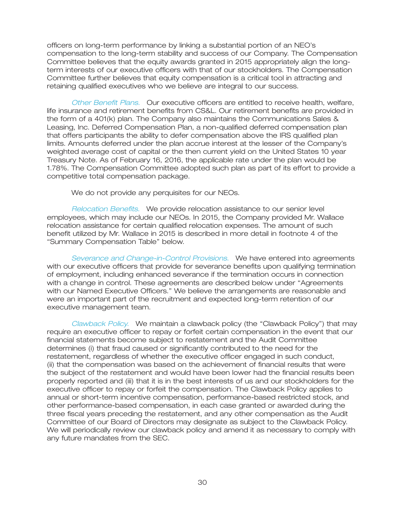officers on long-term performance by linking a substantial portion of an NEO's compensation to the long-term stability and success of our Company. The Compensation Committee believes that the equity awards granted in 2015 appropriately align the longterm interests of our executive officers with that of our stockholders. The Compensation Committee further believes that equity compensation is a critical tool in attracting and retaining qualified executives who we believe are integral to our success.

*Other Benefit Plans.* Our executive officers are entitled to receive health, welfare, life insurance and retirement benefits from CS&L. Our retirement benefits are provided in the form of a 401(k) plan. The Company also maintains the Communications Sales & Leasing, Inc. Deferred Compensation Plan, a non-qualified deferred compensation plan that offers participants the ability to defer compensation above the IRS qualified plan limits. Amounts deferred under the plan accrue interest at the lesser of the Company's weighted average cost of capital or the then current yield on the United States 10 year Treasury Note. As of February 16, 2016, the applicable rate under the plan would be 1.78%. The Compensation Committee adopted such plan as part of its effort to provide a competitive total compensation package.

We do not provide any perquisites for our NEOs.

*Relocation Benefits.* We provide relocation assistance to our senior level employees, which may include our NEOs. In 2015, the Company provided Mr. Wallace relocation assistance for certain qualified relocation expenses. The amount of such benefit utilized by Mr. Wallace in 2015 is described in more detail in footnote 4 of the ''Summary Compensation Table'' below.

*Severance and Change-in-Control Provisions.* We have entered into agreements with our executive officers that provide for severance benefits upon qualifying termination of employment, including enhanced severance if the termination occurs in connection with a change in control. These agreements are described below under ''Agreements with our Named Executive Officers.'' We believe the arrangements are reasonable and were an important part of the recruitment and expected long-term retention of our executive management team.

*Clawback Policy.* We maintain a clawback policy (the ''Clawback Policy'') that may require an executive officer to repay or forfeit certain compensation in the event that our financial statements become subject to restatement and the Audit Committee determines (i) that fraud caused or significantly contributed to the need for the restatement, regardless of whether the executive officer engaged in such conduct, (ii) that the compensation was based on the achievement of financial results that were the subject of the restatement and would have been lower had the financial results been properly reported and (iii) that it is in the best interests of us and our stockholders for the executive officer to repay or forfeit the compensation. The Clawback Policy applies to annual or short-term incentive compensation, performance-based restricted stock, and other performance-based compensation, in each case granted or awarded during the three fiscal years preceding the restatement, and any other compensation as the Audit Committee of our Board of Directors may designate as subject to the Clawback Policy. We will periodically review our clawback policy and amend it as necessary to comply with any future mandates from the SEC.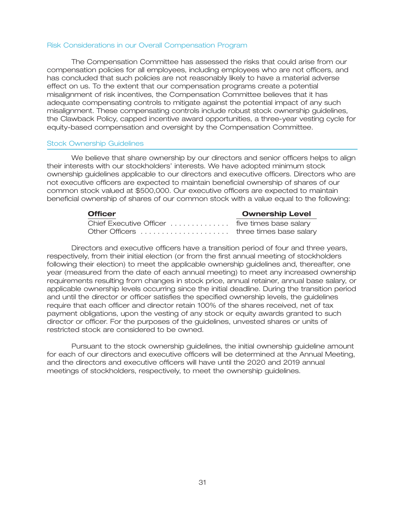#### Risk Considerations in our Overall Compensation Program

The Compensation Committee has assessed the risks that could arise from our compensation policies for all employees, including employees who are not officers, and has concluded that such policies are not reasonably likely to have a material adverse effect on us. To the extent that our compensation programs create a potential misalignment of risk incentives, the Compensation Committee believes that it has adequate compensating controls to mitigate against the potential impact of any such misalignment. These compensating controls include robust stock ownership guidelines, the Clawback Policy, capped incentive award opportunities, a three-year vesting cycle for equity-based compensation and oversight by the Compensation Committee.

#### Stock Ownership Guidelines

We believe that share ownership by our directors and senior officers helps to align their interests with our stockholders' interests. We have adopted minimum stock ownership guidelines applicable to our directors and executive officers. Directors who are not executive officers are expected to maintain beneficial ownership of shares of our common stock valued at \$500,000. Our executive officers are expected to maintain beneficial ownership of shares of our common stock with a value equal to the following:

| <b>Officer</b>                                  | <b>Ownership Level</b> |
|-------------------------------------------------|------------------------|
| Chief Executive Officer  five times base salary |                        |
|                                                 |                        |

Directors and executive officers have a transition period of four and three years, respectively, from their initial election (or from the first annual meeting of stockholders following their election) to meet the applicable ownership guidelines and, thereafter, one year (measured from the date of each annual meeting) to meet any increased ownership requirements resulting from changes in stock price, annual retainer, annual base salary, or applicable ownership levels occurring since the initial deadline. During the transition period and until the director or officer satisfies the specified ownership levels, the guidelines require that each officer and director retain 100% of the shares received, net of tax payment obligations, upon the vesting of any stock or equity awards granted to such director or officer. For the purposes of the guidelines, unvested shares or units of restricted stock are considered to be owned.

Pursuant to the stock ownership guidelines, the initial ownership guideline amount for each of our directors and executive officers will be determined at the Annual Meeting, and the directors and executive officers will have until the 2020 and 2019 annual meetings of stockholders, respectively, to meet the ownership guidelines.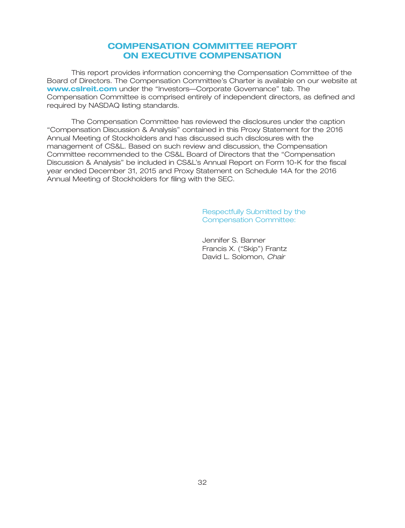### **COMPENSATION COMMITTEE REPORT ON EXECUTIVE COMPENSATION**

This report provides information concerning the Compensation Committee of the Board of Directors. The Compensation Committee's Charter is available on our website at **www.csIreit.com** under the "Investors—Corporate Governance" tab. The Compensation Committee is comprised entirely of independent directors, as defined and required by NASDAQ listing standards.

The Compensation Committee has reviewed the disclosures under the caption ''Compensation Discussion & Analysis'' contained in this Proxy Statement for the 2016 Annual Meeting of Stockholders and has discussed such disclosures with the management of CS&L. Based on such review and discussion, the Compensation Committee recommended to the CS&L Board of Directors that the ''Compensation Discussion & Analysis'' be included in CS&L's Annual Report on Form 10-K for the fiscal year ended December 31, 2015 and Proxy Statement on Schedule 14A for the 2016 Annual Meeting of Stockholders for filing with the SEC.

> Respectfully Submitted by the Compensation Committee:

Jennifer S. Banner Francis X. ("Skip") Frantz David L. Solomon, *Chair*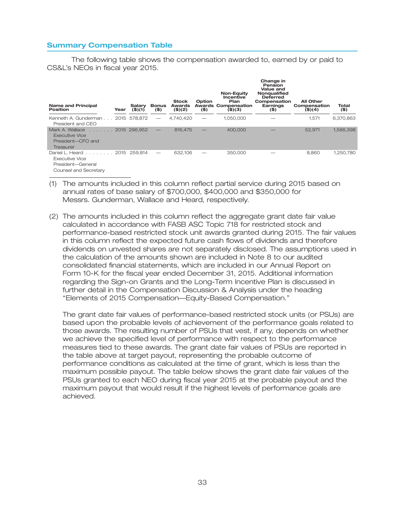### **Summary Compensation Table**

The following table shows the compensation awarded to, earned by or paid to CS&L's NEOs in fiscal year 2015.

| <b>Name and Principal</b><br>Position                                                            | Year | Salary<br>$($ \$)(1) | <b>Bonus</b><br>$($ \$)  | <b>Stock</b><br>Awards<br>(\$)(2) | Option<br>$($ \$) | Non-Equity<br>Incentive<br>Plan<br><b>Awards Compensation</b><br>$($ \$) $($ 3) | Change in<br>Pension<br>Value and<br>Nonqualified<br><b>Deferred</b><br>Compensation<br>Earnings<br>$($ \$) | <b>All Other</b><br>Compensation<br>(\$)(4) | Total<br>$($ \$) |
|--------------------------------------------------------------------------------------------------|------|----------------------|--------------------------|-----------------------------------|-------------------|---------------------------------------------------------------------------------|-------------------------------------------------------------------------------------------------------------|---------------------------------------------|------------------|
| Kenneth A. Gunderman<br>President and CEO                                                        |      | 2015 578.872         |                          | 4.740.420                         |                   | 1.050.000                                                                       |                                                                                                             | 1.571                                       | 6,370,863        |
| Mark A. Wallace<br>and and a state of<br><b>Executive Vice</b><br>President-CFO and<br>Treasurer |      | 2015 296.952         | $\overline{\phantom{0}}$ | 816,475                           |                   | 400,000                                                                         |                                                                                                             | 52.971                                      | 1,566,398        |
| Daniel L. Heard 2015 259.814<br>Executive Vice<br>President-General<br>Counsel and Secretary     |      |                      |                          | 632.106                           |                   | 350,000                                                                         |                                                                                                             | 8.860                                       | 1,250,780        |

- (1) The amounts included in this column reflect partial service during 2015 based on annual rates of base salary of \$700,000, \$400,000 and \$350,000 for Messrs. Gunderman, Wallace and Heard, respectively.
- (2) The amounts included in this column reflect the aggregate grant date fair value calculated in accordance with FASB ASC Topic 718 for restricted stock and performance-based restricted stock unit awards granted during 2015. The fair values in this column reflect the expected future cash flows of dividends and therefore dividends on unvested shares are not separately disclosed. The assumptions used in the calculation of the amounts shown are included in Note 8 to our audited consolidated financial statements, which are included in our Annual Report on Form 10-K for the fiscal year ended December 31, 2015. Additional information regarding the Sign-on Grants and the Long-Term Incentive Plan is discussed in further detail in the Compensation Discussion & Analysis under the heading ''Elements of 2015 Compensation—Equity-Based Compensation.''

The grant date fair values of performance-based restricted stock units (or PSUs) are based upon the probable levels of achievement of the performance goals related to those awards. The resulting number of PSUs that vest, if any, depends on whether we achieve the specified level of performance with respect to the performance measures tied to these awards. The grant date fair values of PSUs are reported in the table above at target payout, representing the probable outcome of performance conditions as calculated at the time of grant, which is less than the maximum possible payout. The table below shows the grant date fair values of the PSUs granted to each NEO during fiscal year 2015 at the probable payout and the maximum payout that would result if the highest levels of performance goals are achieved.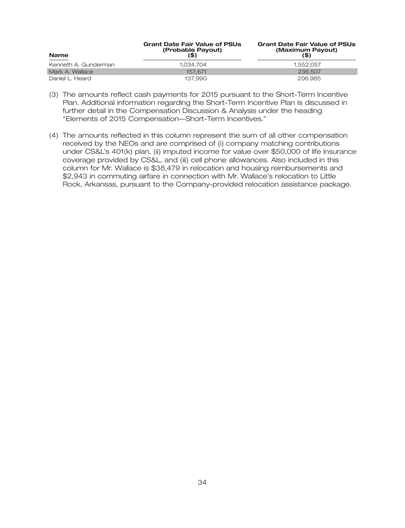| <b>Name</b>          | <b>Grant Date Fair Value of PSUs</b><br>(Probable Payout) | <b>Grant Date Fair Value of PSUs</b><br>(Maximum Payout)<br>(\$) |  |  |
|----------------------|-----------------------------------------------------------|------------------------------------------------------------------|--|--|
| Kenneth A. Gunderman | 1.034.704                                                 | 1.552.057                                                        |  |  |
| Mark A. Wallace      | 157.671                                                   | 236,507                                                          |  |  |
| Daniel L. Heard      | 137.990                                                   | 206,985                                                          |  |  |

- (3) The amounts reflect cash payments for 2015 pursuant to the Short-Term Incentive Plan. Additional information regarding the Short-Term Incentive Plan is discussed in further detail in the Compensation Discussion & Analysis under the heading ''Elements of 2015 Compensation—Short-Term Incentives.''
- (4) The amounts reflected in this column represent the sum of all other compensation received by the NEOs and are comprised of (i) company matching contributions under CS&L's 401(k) plan, (ii) imputed income for value over \$50,000 of life insurance coverage provided by CS&L, and (iii) cell phone allowances. Also included in this column for Mr. Wallace is \$38,479 in relocation and housing reimbursements and \$2,943 in commuting airfare in connection with Mr. Wallace's relocation to Little Rock, Arkansas, pursuant to the Company-provided relocation assistance package.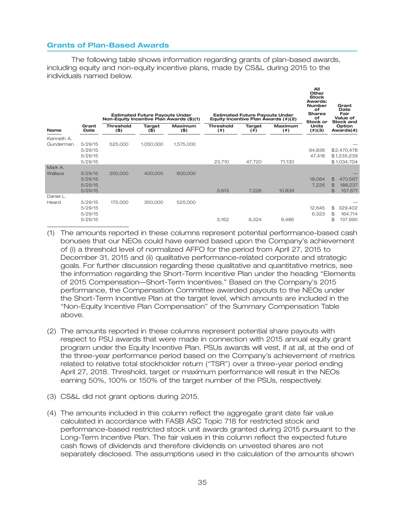### **Grants of Plan-Based Awards**

The following table shows information regarding grants of plan-based awards, including equity and non-equity incentive plans, made by CS&L during 2015 to the individuals named below.

|                         |                                          | Non-Equity Incentive Plan Awards (\$)(1) | <b>Estimated Future Payouts Under</b> |                    |                            | <b>Estimated Future Payouts Under</b> | Equity Incentive Plan Awards (#)(2) | All<br>Other<br><b>Stock</b><br>Awards:<br><b>Number</b><br>оf<br><b>Shares</b><br>of<br>Stock or | Grant<br>Date<br>Fair<br>Value of<br><b>Stock and</b>                               |
|-------------------------|------------------------------------------|------------------------------------------|---------------------------------------|--------------------|----------------------------|---------------------------------------|-------------------------------------|---------------------------------------------------------------------------------------------------|-------------------------------------------------------------------------------------|
| <b>Name</b>             | Grant<br>Date                            | <b>Threshold</b><br>$($ \$)              | <b>Target</b><br>(\$)                 | Maximum<br>$($ \$) | <b>Threshold</b><br>$($ #) | Target<br>(  # )                      | <b>Maximum</b><br>(  # )            | <b>Units</b><br>(4)(3)                                                                            | Option<br>Awards(4)                                                                 |
| Kenneth A.<br>Gunderman | 5/29/15<br>5/29/15<br>5/29/15<br>5/29/15 | 525,000                                  | 1,050,000                             | 1,575,000          | 23,710                     | 47,720                                | 71,130                              | 94,836<br>47,418                                                                                  | \$2,470,478<br>\$1,235,239<br>\$1,034,704                                           |
| Mark A.<br>Wallace      | 5/29/15<br>5/29/15<br>5/29/15<br>5/29/15 | 200,000                                  | 400,000                               | 600,000            | 3,613                      | 7,226                                 | 10,839                              | 18,064<br>7,226                                                                                   | $\mathfrak{P}$<br>470,567<br>$\mathfrak{S}$<br>188,237<br>$\mathfrak{B}$<br>157,671 |
| Daniel L.<br>Heard      | 5/29/15<br>5/29/15<br>5/29/15<br>5/29/15 | 175,000                                  | 350,000                               | 525,000            | 3,162                      | 6,324                                 | 9,486                               | 12,645<br>6,323                                                                                   | \$<br>329,402<br>\$<br>164,714<br>\$<br>137,990                                     |

(1) The amounts reported in these columns represent potential performance-based cash bonuses that our NEOs could have earned based upon the Company's achievement of (i) a threshold level of normalized AFFO for the period from April 27, 2015 to December 31, 2015 and (ii) qualitative performance-related corporate and strategic goals. For further discussion regarding these qualitative and quantitative metrics, see the information regarding the Short-Term Incentive Plan under the heading ''Elements of 2015 Compensation—Short-Term Incentives.'' Based on the Company's 2015 performance, the Compensation Committee awarded payouts to the NEOs under the Short-Term Incentive Plan at the target level, which amounts are included in the ''Non-Equity Incentive Plan Compensation'' of the Summary Compensation Table above.

- (2) The amounts reported in these columns represent potential share payouts with respect to PSU awards that were made in connection with 2015 annual equity grant program under the Equity Incentive Plan. PSUs awards will vest, if at all, at the end of the three-year performance period based on the Company's achievement of metrics related to relative total stockholder return (''TSR'') over a three-year period ending April 27, 2018. Threshold, target or maximum performance will result in the NEOs earning 50%, 100% or 150% of the target number of the PSUs, respectively.
- (3) CS&L did not grant options during 2015.
- (4) The amounts included in this column reflect the aggregate grant date fair value calculated in accordance with FASB ASC Topic 718 for restricted stock and performance-based restricted stock unit awards granted during 2015 pursuant to the Long-Term Incentive Plan. The fair values in this column reflect the expected future cash flows of dividends and therefore dividends on unvested shares are not separately disclosed. The assumptions used in the calculation of the amounts shown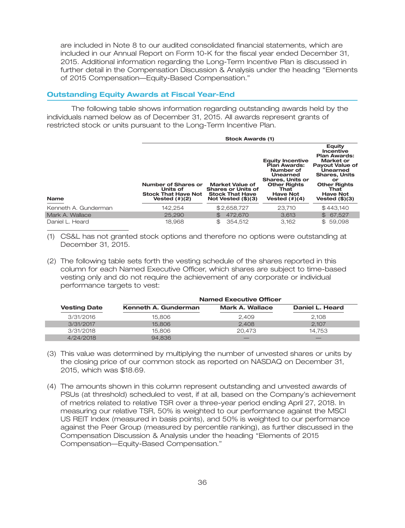are included in Note 8 to our audited consolidated financial statements, which are included in our Annual Report on Form 10-K for the fiscal year ended December 31, 2015. Additional information regarding the Long-Term Incentive Plan is discussed in further detail in the Compensation Discussion & Analysis under the heading ''Elements of 2015 Compensation—Equity-Based Compensation.''

### **Outstanding Equity Awards at Fiscal Year-End**

The following table shows information regarding outstanding awards held by the individuals named below as of December 31, 2015. All awards represent grants of restricted stock or units pursuant to the Long-Term Incentive Plan.

|                      | <b>Stock Awards (1)</b>                                                           |                                                                                                       |                                                                                                                                                                   |                                                                                                                                                                                                          |  |  |
|----------------------|-----------------------------------------------------------------------------------|-------------------------------------------------------------------------------------------------------|-------------------------------------------------------------------------------------------------------------------------------------------------------------------|----------------------------------------------------------------------------------------------------------------------------------------------------------------------------------------------------------|--|--|
| <b>Name</b>          | Number of Shares or<br>Units of<br><b>Stock That Have Not</b><br>Vested $(\#)(2)$ | <b>Market Value of</b><br><b>Shares or Units of</b><br><b>Stock That Have</b><br>Not Vested $(\$)(3)$ | <b>Equity Incentive</b><br>Plan Awards:<br>Number of<br>Unearned<br><b>Shares, Units or</b><br><b>Other Rights</b><br>That<br><b>Have Not</b><br>Vested $(\#)(4)$ | <b>Equity</b><br>Incentive<br><b>Plan Awards:</b><br>Market or<br><b>Payout Value of</b><br>Unearned<br><b>Shares, Units</b><br>or<br><b>Other Rights</b><br>That<br><b>Have Not</b><br>Vested $(\$)(3)$ |  |  |
| Kenneth A. Gunderman | 142,254                                                                           | \$2,658,727                                                                                           | 23,710                                                                                                                                                            | \$443,140                                                                                                                                                                                                |  |  |
| Mark A. Wallace      | 25,290                                                                            | 472.670<br>$\mathbb{S}$                                                                               | 3.613                                                                                                                                                             | \$67,527                                                                                                                                                                                                 |  |  |
| Daniel L. Heard      | 18,968                                                                            | 354.512<br>\$                                                                                         | 3.162                                                                                                                                                             | \$59,098                                                                                                                                                                                                 |  |  |

(1) CS&L has not granted stock options and therefore no options were outstanding at December 31, 2015.

(2) The following table sets forth the vesting schedule of the shares reported in this column for each Named Executive Officer, which shares are subject to time-based vesting only and do not require the achievement of any corporate or individual performance targets to vest:

| <b>Named Executive Officer</b> |                      |                        |                 |  |  |
|--------------------------------|----------------------|------------------------|-----------------|--|--|
| <b>Vesting Date</b>            | Kenneth A. Gunderman | <b>Mark A. Wallace</b> | Daniel L. Heard |  |  |
| 3/31/2016                      | 15,806               | 2.409                  | 2,108           |  |  |
| 3/31/2017                      | 15,806               | 2.408                  | 2.107           |  |  |
| 3/31/2018                      | 15,806               | 20.473                 | 14.753          |  |  |
| 4/24/2018                      | 94.836               |                        |                 |  |  |

- (3) This value was determined by multiplying the number of unvested shares or units by the closing price of our common stock as reported on NASDAQ on December 31, 2015, which was \$18.69.
- (4) The amounts shown in this column represent outstanding and unvested awards of PSUs (at threshold) scheduled to vest, if at all, based on the Company's achievement of metrics related to relative TSR over a three-year period ending April 27, 2018. In measuring our relative TSR, 50% is weighted to our performance against the MSCI US REIT Index (measured in basis points), and 50% is weighted to our performance against the Peer Group (measured by percentile ranking), as further discussed in the Compensation Discussion & Analysis under the heading ''Elements of 2015 Compensation—Equity-Based Compensation.''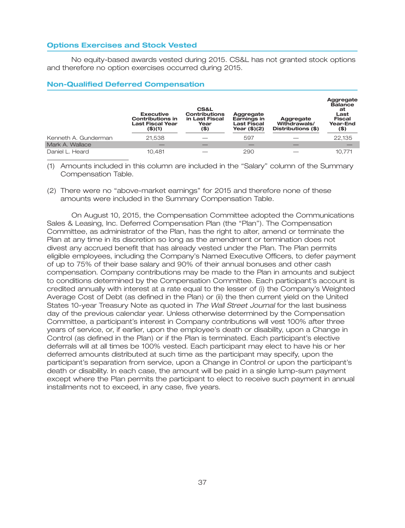### **Options Exercises and Stock Vested**

No equity-based awards vested during 2015. CS&L has not granted stock options and therefore no option exercises occurred during 2015.

### **Non-Qualified Deferred Compensation**

|                      | <b>Executive</b><br><b>Contributions in</b><br><b>Last Fiscal Year</b><br>$($ \$)(1) | <b>CS&amp;L</b><br><b>Contributions</b><br>in Last Fiscal<br>Year<br>(\$) | Aggregate<br>Earnings in<br>Last Fiscal<br>Year (\$)(2) | Aggregate<br>Withdrawals/<br>Distributions (\$) | Aggregate<br><b>Balance</b><br>at<br>Last<br><b>Fiscal</b><br>Year-End<br>(\$) |
|----------------------|--------------------------------------------------------------------------------------|---------------------------------------------------------------------------|---------------------------------------------------------|-------------------------------------------------|--------------------------------------------------------------------------------|
| Kenneth A. Gunderman | 21.538                                                                               |                                                                           | 597                                                     |                                                 | 22,135                                                                         |
| Mark A. Wallace      |                                                                                      |                                                                           |                                                         |                                                 |                                                                                |
| Daniel L. Heard      | 10.481                                                                               |                                                                           | 290                                                     |                                                 | 10.771                                                                         |

(1) Amounts included in this column are included in the ''Salary'' column of the Summary Compensation Table.

(2) There were no ''above-market earnings'' for 2015 and therefore none of these amounts were included in the Summary Compensation Table.

On August 10, 2015, the Compensation Committee adopted the Communications Sales & Leasing, Inc. Deferred Compensation Plan (the ''Plan''). The Compensation Committee, as administrator of the Plan, has the right to alter, amend or terminate the Plan at any time in its discretion so long as the amendment or termination does not divest any accrued benefit that has already vested under the Plan. The Plan permits eligible employees, including the Company's Named Executive Officers, to defer payment of up to 75% of their base salary and 90% of their annual bonuses and other cash compensation. Company contributions may be made to the Plan in amounts and subject to conditions determined by the Compensation Committee. Each participant's account is credited annually with interest at a rate equal to the lesser of (i) the Company's Weighted Average Cost of Debt (as defined in the Plan) or (ii) the then current yield on the United States 10-year Treasury Note as quoted in *The Wall Street Journal* for the last business day of the previous calendar year. Unless otherwise determined by the Compensation Committee, a participant's interest in Company contributions will vest 100% after three years of service, or, if earlier, upon the employee's death or disability, upon a Change in Control (as defined in the Plan) or if the Plan is terminated. Each participant's elective deferrals will at all times be 100% vested. Each participant may elect to have his or her deferred amounts distributed at such time as the participant may specify, upon the participant's separation from service, upon a Change in Control or upon the participant's death or disability. In each case, the amount will be paid in a single lump-sum payment except where the Plan permits the participant to elect to receive such payment in annual installments not to exceed, in any case, five years.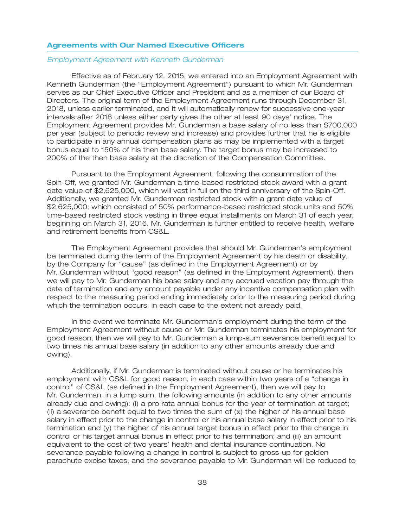### **Agreements with Our Named Executive Officers**

#### *Employment Agreement with Kenneth Gunderman*

Effective as of February 12, 2015, we entered into an Employment Agreement with Kenneth Gunderman (the ''Employment Agreement'') pursuant to which Mr. Gunderman serves as our Chief Executive Officer and President and as a member of our Board of Directors. The original term of the Employment Agreement runs through December 31, 2018, unless earlier terminated, and it will automatically renew for successive one-year intervals after 2018 unless either party gives the other at least 90 days' notice. The Employment Agreement provides Mr. Gunderman a base salary of no less than \$700,000 per year (subject to periodic review and increase) and provides further that he is eligible to participate in any annual compensation plans as may be implemented with a target bonus equal to 150% of his then base salary. The target bonus may be increased to 200% of the then base salary at the discretion of the Compensation Committee.

Pursuant to the Employment Agreement, following the consummation of the Spin-Off, we granted Mr. Gunderman a time-based restricted stock award with a grant date value of \$2,625,000, which will vest in full on the third anniversary of the Spin-Off. Additionally, we granted Mr. Gunderman restricted stock with a grant date value of \$2,625,000; which consisted of 50% performance-based restricted stock units and 50% time-based restricted stock vesting in three equal installments on March 31 of each year, beginning on March 31, 2016. Mr. Gunderman is further entitled to receive health, welfare and retirement benefits from CS&L.

The Employment Agreement provides that should Mr. Gunderman's employment be terminated during the term of the Employment Agreement by his death or disability, by the Company for ''cause'' (as defined in the Employment Agreement) or by Mr. Gunderman without ''good reason'' (as defined in the Employment Agreement), then we will pay to Mr. Gunderman his base salary and any accrued vacation pay through the date of termination and any amount payable under any incentive compensation plan with respect to the measuring period ending immediately prior to the measuring period during which the termination occurs, in each case to the extent not already paid.

In the event we terminate Mr. Gunderman's employment during the term of the Employment Agreement without cause or Mr. Gunderman terminates his employment for good reason, then we will pay to Mr. Gunderman a lump-sum severance benefit equal to two times his annual base salary (in addition to any other amounts already due and owing).

Additionally, if Mr. Gunderman is terminated without cause or he terminates his employment with CS&L for good reason, in each case within two years of a ''change in control'' of CS&L (as defined in the Employment Agreement), then we will pay to Mr. Gunderman, in a lump sum, the following amounts (in addition to any other amounts already due and owing): (i) a pro rata annual bonus for the year of termination at target;  $(iii)$  a severance benefit equal to two times the sum of  $(x)$  the higher of his annual base salary in effect prior to the change in control or his annual base salary in effect prior to his termination and (y) the higher of his annual target bonus in effect prior to the change in control or his target annual bonus in effect prior to his termination; and (iii) an amount equivalent to the cost of two years' health and dental insurance continuation. No severance payable following a change in control is subject to gross-up for golden parachute excise taxes, and the severance payable to Mr. Gunderman will be reduced to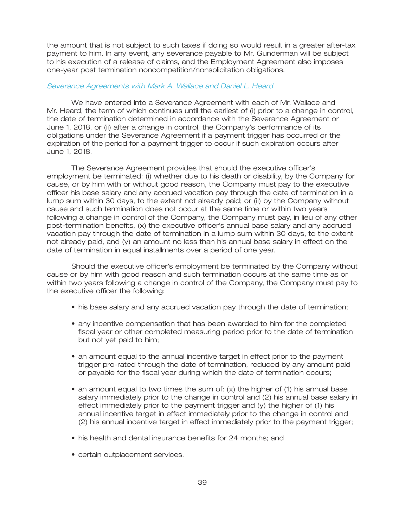the amount that is not subject to such taxes if doing so would result in a greater after-tax payment to him. In any event, any severance payable to Mr. Gunderman will be subject to his execution of a release of claims, and the Employment Agreement also imposes one-year post termination noncompetition/nonsolicitation obligations.

### *Severance Agreements with Mark A. Wallace and Daniel L. Heard*

We have entered into a Severance Agreement with each of Mr. Wallace and Mr. Heard, the term of which continues until the earliest of (i) prior to a change in control, the date of termination determined in accordance with the Severance Agreement or June 1, 2018, or (ii) after a change in control, the Company's performance of its obligations under the Severance Agreement if a payment trigger has occurred or the expiration of the period for a payment trigger to occur if such expiration occurs after June 1, 2018.

The Severance Agreement provides that should the executive officer's employment be terminated: (i) whether due to his death or disability, by the Company for cause, or by him with or without good reason, the Company must pay to the executive officer his base salary and any accrued vacation pay through the date of termination in a lump sum within 30 days, to the extent not already paid; or (ii) by the Company without cause and such termination does not occur at the same time or within two years following a change in control of the Company, the Company must pay, in lieu of any other post-termination benefits, (x) the executive officer's annual base salary and any accrued vacation pay through the date of termination in a lump sum within 30 days, to the extent not already paid, and (y) an amount no less than his annual base salary in effect on the date of termination in equal installments over a period of one year.

Should the executive officer's employment be terminated by the Company without cause or by him with good reason and such termination occurs at the same time as or within two years following a change in control of the Company, the Company must pay to the executive officer the following:

- his base salary and any accrued vacation pay through the date of termination;
- any incentive compensation that has been awarded to him for the completed fiscal year or other completed measuring period prior to the date of termination but not yet paid to him;
- an amount equal to the annual incentive target in effect prior to the payment trigger pro-rated through the date of termination, reduced by any amount paid or payable for the fiscal year during which the date of termination occurs;
- an amount equal to two times the sum of: (x) the higher of (1) his annual base salary immediately prior to the change in control and (2) his annual base salary in effect immediately prior to the payment trigger and (y) the higher of (1) his annual incentive target in effect immediately prior to the change in control and (2) his annual incentive target in effect immediately prior to the payment trigger;
- his health and dental insurance benefits for 24 months; and
- certain outplacement services.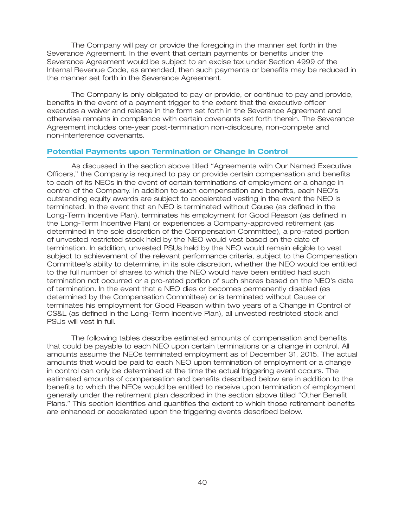The Company will pay or provide the foregoing in the manner set forth in the Severance Agreement. In the event that certain payments or benefits under the Severance Agreement would be subject to an excise tax under Section 4999 of the Internal Revenue Code, as amended, then such payments or benefits may be reduced in the manner set forth in the Severance Agreement.

The Company is only obligated to pay or provide, or continue to pay and provide, benefits in the event of a payment trigger to the extent that the executive officer executes a waiver and release in the form set forth in the Severance Agreement and otherwise remains in compliance with certain covenants set forth therein. The Severance Agreement includes one-year post-termination non-disclosure, non-compete and non-interference covenants.

### **Potential Payments upon Termination or Change in Control**

As discussed in the section above titled ''Agreements with Our Named Executive Officers,'' the Company is required to pay or provide certain compensation and benefits to each of its NEOs in the event of certain terminations of employment or a change in control of the Company. In addition to such compensation and benefits, each NEO's outstanding equity awards are subject to accelerated vesting in the event the NEO is terminated. In the event that an NEO is terminated without Cause (as defined in the Long-Term Incentive Plan), terminates his employment for Good Reason (as defined in the Long-Term Incentive Plan) or experiences a Company-approved retirement (as determined in the sole discretion of the Compensation Committee), a pro-rated portion of unvested restricted stock held by the NEO would vest based on the date of termination. In addition, unvested PSUs held by the NEO would remain eligible to vest subject to achievement of the relevant performance criteria, subject to the Compensation Committee's ability to determine, in its sole discretion, whether the NEO would be entitled to the full number of shares to which the NEO would have been entitled had such termination not occurred or a pro-rated portion of such shares based on the NEO's date of termination. In the event that a NEO dies or becomes permanently disabled (as determined by the Compensation Committee) or is terminated without Cause or terminates his employment for Good Reason within two years of a Change in Control of CS&L (as defined in the Long-Term Incentive Plan), all unvested restricted stock and PSUs will vest in full.

The following tables describe estimated amounts of compensation and benefits that could be payable to each NEO upon certain terminations or a change in control. All amounts assume the NEOs terminated employment as of December 31, 2015. The actual amounts that would be paid to each NEO upon termination of employment or a change in control can only be determined at the time the actual triggering event occurs. The estimated amounts of compensation and benefits described below are in addition to the benefits to which the NEOs would be entitled to receive upon termination of employment generally under the retirement plan described in the section above titled ''Other Benefit Plans.'' This section identifies and quantifies the extent to which those retirement benefits are enhanced or accelerated upon the triggering events described below.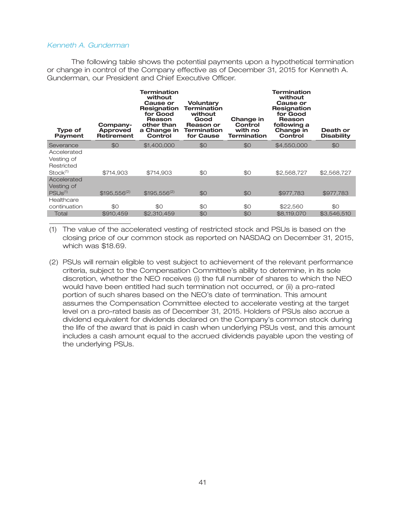### *Kenneth A. Gunderman*

The following table shows the potential payments upon a hypothetical termination or change in control of the Company effective as of December 31, 2015 for Kenneth A. Gunderman, our President and Chief Executive Officer.

| <b>Type of</b><br>Payment                                       | Company-<br>Approved<br><b>Retirement</b> | Termination<br>without<br><b>Cause or</b><br><b>Resignation</b><br>for Good<br>Reason<br>other than<br>a Change in<br>Control | <b>Voluntary</b><br><b>Termination</b><br>without<br>Good<br>Reason or<br><b>Termination</b><br>for Cause | Change in<br>Control<br>with no<br><b>Termination</b> | <b>Termination</b><br>without<br>Cause or<br><b>Resignation</b><br>for Good<br>Reason<br>following a<br>Change in<br>Control | Death or<br><b>Disability</b> |
|-----------------------------------------------------------------|-------------------------------------------|-------------------------------------------------------------------------------------------------------------------------------|-----------------------------------------------------------------------------------------------------------|-------------------------------------------------------|------------------------------------------------------------------------------------------------------------------------------|-------------------------------|
| Severance                                                       | \$0                                       | \$1,400,000                                                                                                                   | \$0                                                                                                       | \$0                                                   | \$4,550,000                                                                                                                  | \$0                           |
| Accelerated<br>Vesting of<br>Restricted<br>Stock <sup>(1)</sup> | \$714,903                                 | \$714,903                                                                                                                     | \$0                                                                                                       | \$0                                                   | \$2,568,727                                                                                                                  | \$2,568,727                   |
| Accelerated<br>Vesting of<br>PSU <sub>s(1)</sub>                | $$195,556^{(2)}$                          | $$195.556^{(2)}$                                                                                                              | \$0                                                                                                       | \$0                                                   | \$977,783                                                                                                                    | \$977,783                     |
| Healthcare                                                      |                                           |                                                                                                                               |                                                                                                           |                                                       |                                                                                                                              |                               |
| continuation                                                    | \$0                                       | \$0                                                                                                                           | \$0                                                                                                       | \$0                                                   | \$22,560                                                                                                                     | \$0                           |
| Total                                                           | \$910,459                                 | \$2,310,459                                                                                                                   | \$0                                                                                                       | \$0                                                   | \$8,119,070                                                                                                                  | \$3,546,510                   |

(1) The value of the accelerated vesting of restricted stock and PSUs is based on the closing price of our common stock as reported on NASDAQ on December 31, 2015, which was \$18.69.

(2) PSUs will remain eligible to vest subject to achievement of the relevant performance criteria, subject to the Compensation Committee's ability to determine, in its sole discretion, whether the NEO receives (i) the full number of shares to which the NEO would have been entitled had such termination not occurred, or (ii) a pro-rated portion of such shares based on the NEO's date of termination. This amount assumes the Compensation Committee elected to accelerate vesting at the target level on a pro-rated basis as of December 31, 2015. Holders of PSUs also accrue a dividend equivalent for dividends declared on the Company's common stock during the life of the award that is paid in cash when underlying PSUs vest, and this amount includes a cash amount equal to the accrued dividends payable upon the vesting of the underlying PSUs.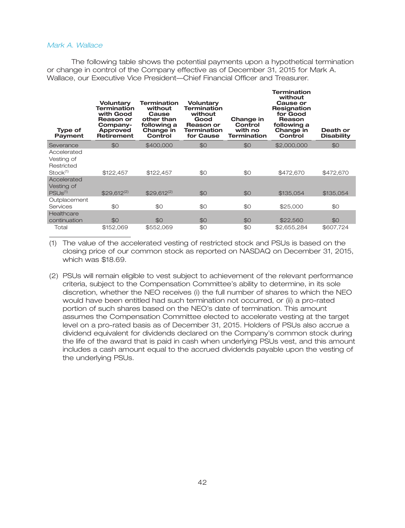### *Mark A. Wallace*

The following table shows the potential payments upon a hypothetical termination or change in control of the Company effective as of December 31, 2015 for Mark A. Wallace, our Executive Vice President—Chief Financial Officer and Treasurer.

**Termination**

| <b>Type of</b><br><b>Payment</b>                                  | Voluntary<br><b>Termination</b><br>with Good<br><b>Reason or</b><br>Company-<br>Approved<br><b>Retirement</b> | Termination<br>without<br>Cause<br>other than<br>following a<br>Change in<br><b>Control</b> | Voluntary<br><b>Termination</b><br>without<br>Good<br>Reason or<br>Termination<br>for Cause | Change in<br>Control<br>with no<br><b>Termination</b> | 151 1111 1810 1<br>without<br>Cause or<br><b>Resignation</b><br>for Good<br>Reason<br>following a<br>Change in<br>Control | Death or<br><b>Disability</b> |
|-------------------------------------------------------------------|---------------------------------------------------------------------------------------------------------------|---------------------------------------------------------------------------------------------|---------------------------------------------------------------------------------------------|-------------------------------------------------------|---------------------------------------------------------------------------------------------------------------------------|-------------------------------|
| Severance                                                         | \$0                                                                                                           | \$400,000                                                                                   | \$0                                                                                         | \$0                                                   | \$2,000,000                                                                                                               | \$0                           |
| Accelerated<br>Vesting of<br>Restricted<br>$Stock$ <sup>(1)</sup> | \$122,457                                                                                                     | \$122,457                                                                                   | \$0                                                                                         | \$0                                                   | \$472,670                                                                                                                 | \$472,670                     |
| Accelerated<br>Vesting of<br>PSUS <sup>(1)</sup>                  | $$29.612^{(2)}$                                                                                               | $$29.612^{(2)}$                                                                             | \$0                                                                                         | \$0                                                   | \$135,054                                                                                                                 | \$135,054                     |
| Outplacement                                                      |                                                                                                               |                                                                                             |                                                                                             |                                                       |                                                                                                                           |                               |
| Services                                                          | \$0                                                                                                           | \$0                                                                                         | \$0                                                                                         | \$0                                                   | \$25,000                                                                                                                  | \$0                           |
| Healthcare<br>continuation                                        | \$0                                                                                                           | \$0                                                                                         | \$0                                                                                         | \$0                                                   | \$22,560                                                                                                                  | \$0                           |
| Total                                                             | \$152,069                                                                                                     | \$552,069                                                                                   | \$0                                                                                         | \$0                                                   | \$2,655,284                                                                                                               | \$607,724                     |

(1) The value of the accelerated vesting of restricted stock and PSUs is based on the closing price of our common stock as reported on NASDAQ on December 31, 2015, which was \$18.69.

(2) PSUs will remain eligible to vest subject to achievement of the relevant performance criteria, subject to the Compensation Committee's ability to determine, in its sole discretion, whether the NEO receives (i) the full number of shares to which the NEO would have been entitled had such termination not occurred, or (ii) a pro-rated portion of such shares based on the NEO's date of termination. This amount assumes the Compensation Committee elected to accelerate vesting at the target level on a pro-rated basis as of December 31, 2015. Holders of PSUs also accrue a dividend equivalent for dividends declared on the Company's common stock during the life of the award that is paid in cash when underlying PSUs vest, and this amount includes a cash amount equal to the accrued dividends payable upon the vesting of the underlying PSUs.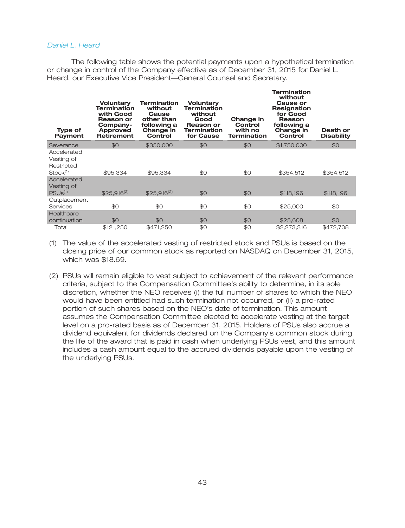### *Daniel L. Heard*

The following table shows the potential payments upon a hypothetical termination or change in control of the Company effective as of December 31, 2015 for Daniel L. Heard, our Executive Vice President—General Counsel and Secretary.

| <b>Type of</b><br><b>Payment</b>                                | <b>Voluntary</b><br><b>Termination</b><br>with Good<br><b>Reason or</b><br>Company-<br><b>Approved</b><br><b>Retirement</b> | <b>Termination</b><br>without<br>Cause<br>other than<br>following a<br>Change in<br>Control | <b>Voluntary</b><br><b>Termination</b><br>without<br>Good<br><b>Reason or</b><br><b>Termination</b><br>for Cause | Change in<br>Control<br>with no<br><b>Termination</b> | <b>Termination</b><br>without<br>Cause or<br><b>Resignation</b><br>for Good<br>Reason<br>following a<br>Change in<br>Control | Death or<br><b>Disability</b> |
|-----------------------------------------------------------------|-----------------------------------------------------------------------------------------------------------------------------|---------------------------------------------------------------------------------------------|------------------------------------------------------------------------------------------------------------------|-------------------------------------------------------|------------------------------------------------------------------------------------------------------------------------------|-------------------------------|
| Severance                                                       | \$0                                                                                                                         | \$350,000                                                                                   | \$0                                                                                                              | \$0                                                   | \$1,750,000                                                                                                                  | \$0                           |
| Accelerated<br>Vesting of<br>Restricted<br>Stock <sup>(1)</sup> | \$95,334                                                                                                                    | \$95,334                                                                                    | \$0                                                                                                              | \$0                                                   | \$354,512                                                                                                                    | \$354,512                     |
| Accelerated<br>Vesting of<br>PSUS <sup>(1)</sup>                | $$25,916^{(2)}$                                                                                                             | $$25,916^{(2)}$                                                                             | \$0                                                                                                              | \$0                                                   | \$118,196                                                                                                                    | \$118,196                     |
| Outplacement<br>Services                                        | \$0                                                                                                                         | \$0                                                                                         | \$0                                                                                                              | \$0                                                   | \$25,000                                                                                                                     | \$0                           |
| Healthcare<br>continuation                                      | \$0                                                                                                                         | \$0                                                                                         | \$0                                                                                                              | \$0                                                   | \$25,608                                                                                                                     | \$0                           |
| Total                                                           | \$121,250                                                                                                                   | \$471,250                                                                                   | \$0                                                                                                              | \$0                                                   | \$2,273,316                                                                                                                  | \$472,708                     |

(1) The value of the accelerated vesting of restricted stock and PSUs is based on the closing price of our common stock as reported on NASDAQ on December 31, 2015, which was \$18.69.

(2) PSUs will remain eligible to vest subject to achievement of the relevant performance criteria, subject to the Compensation Committee's ability to determine, in its sole discretion, whether the NEO receives (i) the full number of shares to which the NEO would have been entitled had such termination not occurred, or (ii) a pro-rated portion of such shares based on the NEO's date of termination. This amount assumes the Compensation Committee elected to accelerate vesting at the target level on a pro-rated basis as of December 31, 2015. Holders of PSUs also accrue a dividend equivalent for dividends declared on the Company's common stock during the life of the award that is paid in cash when underlying PSUs vest, and this amount includes a cash amount equal to the accrued dividends payable upon the vesting of the underlying PSUs.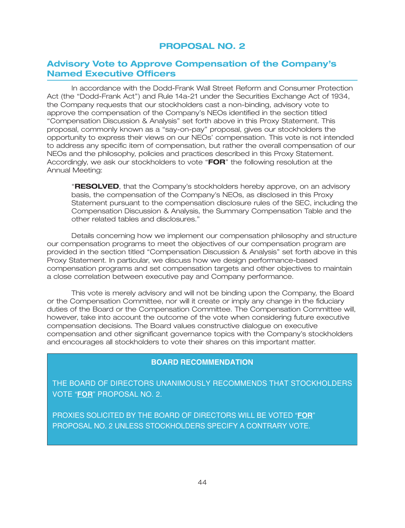### **Advisory Vote to Approve Compensation of the Company's Named Executive Officers**

In accordance with the Dodd-Frank Wall Street Reform and Consumer Protection Act (the ''Dodd-Frank Act'') and Rule 14a-21 under the Securities Exchange Act of 1934, the Company requests that our stockholders cast a non-binding, advisory vote to approve the compensation of the Company's NEOs identified in the section titled ''Compensation Discussion & Analysis'' set forth above in this Proxy Statement. This proposal, commonly known as a ''say-on-pay'' proposal, gives our stockholders the opportunity to express their views on our NEOs' compensation. This vote is not intended to address any specific item of compensation, but rather the overall compensation of our NEOs and the philosophy, policies and practices described in this Proxy Statement. Accordingly, we ask our stockholders to vote ''**FOR**'' the following resolution at the Annual Meeting:

''**RESOLVED**, that the Company's stockholders hereby approve, on an advisory basis, the compensation of the Company's NEOs, as disclosed in this Proxy Statement pursuant to the compensation disclosure rules of the SEC, including the Compensation Discussion & Analysis, the Summary Compensation Table and the other related tables and disclosures.''

Details concerning how we implement our compensation philosophy and structure our compensation programs to meet the objectives of our compensation program are provided in the section titled ''Compensation Discussion & Analysis'' set forth above in this Proxy Statement. In particular, we discuss how we design performance-based compensation programs and set compensation targets and other objectives to maintain a close correlation between executive pay and Company performance.

This vote is merely advisory and will not be binding upon the Company, the Board or the Compensation Committee, nor will it create or imply any change in the fiduciary duties of the Board or the Compensation Committee. The Compensation Committee will, however, take into account the outcome of the vote when considering future executive compensation decisions. The Board values constructive dialogue on executive compensation and other significant governance topics with the Company's stockholders and encourages all stockholders to vote their shares on this important matter.

### **BOARD RECOMMENDATION**

THE BOARD OF DIRECTORS UNANIMOUSLY RECOMMENDS THAT STOCKHOLDERS VOTE "**FOR**" PROPOSAL NO. 2.

PROXIES SOLICITED BY THE BOARD OF DIRECTORS WILL BE VOTED "**FOR**" PROPOSAL NO. 2 UNLESS STOCKHOLDERS SPECIFY A CONTRARY VOTE.

30MAR201605143489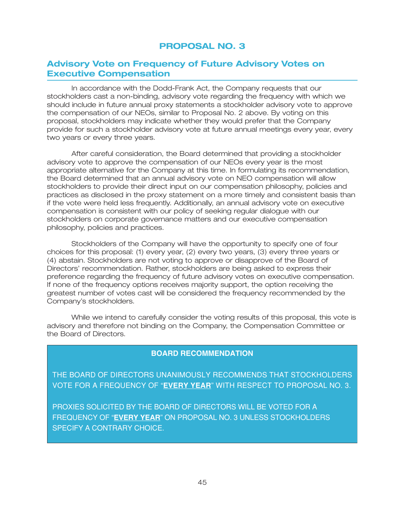### **Advisory Vote on Frequency of Future Advisory Votes on Executive Compensation**

In accordance with the Dodd-Frank Act, the Company requests that our stockholders cast a non-binding, advisory vote regarding the frequency with which we should include in future annual proxy statements a stockholder advisory vote to approve the compensation of our NEOs, similar to Proposal No. 2 above. By voting on this proposal, stockholders may indicate whether they would prefer that the Company provide for such a stockholder advisory vote at future annual meetings every year, every two years or every three years.

After careful consideration, the Board determined that providing a stockholder advisory vote to approve the compensation of our NEOs every year is the most appropriate alternative for the Company at this time. In formulating its recommendation, the Board determined that an annual advisory vote on NEO compensation will allow stockholders to provide their direct input on our compensation philosophy, policies and practices as disclosed in the proxy statement on a more timely and consistent basis than if the vote were held less frequently. Additionally, an annual advisory vote on executive compensation is consistent with our policy of seeking regular dialogue with our stockholders on corporate governance matters and our executive compensation philosophy, policies and practices.

Stockholders of the Company will have the opportunity to specify one of four choices for this proposal: (1) every year, (2) every two years, (3) every three years or (4) abstain. Stockholders are not voting to approve or disapprove of the Board of Directors' recommendation. Rather, stockholders are being asked to express their preference regarding the frequency of future advisory votes on executive compensation. If none of the frequency options receives majority support, the option receiving the greatest number of votes cast will be considered the frequency recommended by the Company's stockholders.

While we intend to carefully consider the voting results of this proposal, this vote is advisory and therefore not binding on the Company, the Compensation Committee or the Board of Directors.

### **BOARD RECOMMENDATION**

THE BOARD OF DIRECTORS UNANIMOUSLY RECOMMENDS THAT STOCKHOLDERS VOTE FOR A FREQUENCY OF "**EVERY YEAR**" WITH RESPECT TO PROPOSAL NO. 3.

PROXIES SOLICITED BY THE BOARD OF DIRECTORS WILL BE VOTED FOR A FREQUENCY OF "**EVERY YEAR**" ON PROPOSAL NO. 3 UNLESS STOCKHOLDERS SPECIFY A CONTRARY CHOICE.

30MAR201605143621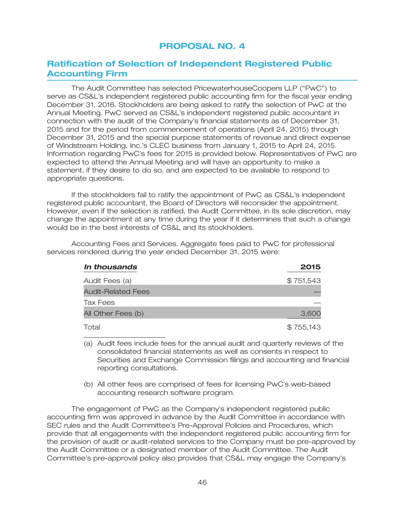### **Ratification of Selection of Independent Registered Public Accounting Firm**

The Audit Committee has selected PricewaterhouseCoopers LLP (''PwC'') to serve as CS&L's independent registered public accounting firm for the fiscal year ending December 31, 2016. Stockholders are being asked to ratify the selection of PwC at the Annual Meeting. PwC served as CS&L's independent registered public accountant in connection with the audit of the Company's financial statements as of December 31, 2015 and for the period from commencement of operations (April 24, 2015) through December 31, 2015 and the special purpose statements of revenue and direct expense of Windstream Holding, Inc.'s CLEC business from January 1, 2015 to April 24, 2015. Information regarding PwC's fees for 2015 is provided below. Representatives of PwC are expected to attend the Annual Meeting and will have an opportunity to make a statement, if they desire to do so, and are expected to be available to respond to appropriate questions.

If the stockholders fail to ratify the appointment of PwC as CS&L's independent registered public accountant, the Board of Directors will reconsider the appointment. However, even if the selection is ratified, the Audit Committee, in its sole discretion, may change the appointment at any time during the year if it determines that such a change would be in the best interests of CS&L and its stockholders.

Accounting Fees and Services. Aggregate fees paid to PwC for professional services rendered during the year ended December 31, 2015 were:

| In thousands              | 2015      |
|---------------------------|-----------|
| Audit Fees (a)            | \$751,543 |
| <b>Audit-Related Fees</b> |           |
| Tax Fees                  |           |
| All Other Fees (b)        | 3,600     |
| Total                     | \$755,143 |

(a) Audit fees include fees for the annual audit and quarterly reviews of the consolidated financial statements as well as consents in respect to Securities and Exchange Commission filings and accounting and financial reporting consultations.

(b) All other fees are comprised of fees for licensing PwC's web-based accounting research software program.

The engagement of PwC as the Company's independent registered public accounting firm was approved in advance by the Audit Committee in accordance with SEC rules and the Audit Committee's Pre-Approval Policies and Procedures, which provide that all engagements with the independent registered public accounting firm for the provision of audit or audit-related services to the Company must be pre-approved by the Audit Committee or a designated member of the Audit Committee. The Audit Committee's pre-approval policy also provides that CS&L may engage the Company's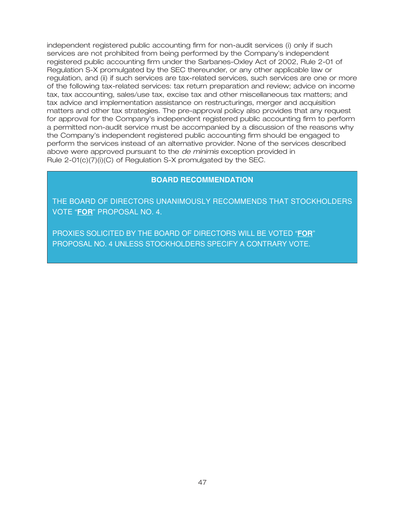independent registered public accounting firm for non-audit services (i) only if such services are not prohibited from being performed by the Company's independent registered public accounting firm under the Sarbanes-Oxley Act of 2002, Rule 2-01 of Regulation S-X promulgated by the SEC thereunder, or any other applicable law or regulation, and (ii) if such services are tax-related services, such services are one or more of the following tax-related services: tax return preparation and review; advice on income tax, tax accounting, sales/use tax, excise tax and other miscellaneous tax matters; and tax advice and implementation assistance on restructurings, merger and acquisition matters and other tax strategies. The pre-approval policy also provides that any request for approval for the Company's independent registered public accounting firm to perform a permitted non-audit service must be accompanied by a discussion of the reasons why the Company's independent registered public accounting firm should be engaged to perform the services instead of an alternative provider. None of the services described above were approved pursuant to the *de minimis* exception provided in Rule 2-01(c)(7)(i)(C) of Regulation S-X promulgated by the SEC.

### **BOARD RECOMMENDATION**

THE BOARD OF DIRECTORS UNANIMOUSLY RECOMMENDS THAT STOCKHOLDERS VOTE "**FOR**" PROPOSAL NO. 4.

30MAR201605143757

PROXIES SOLICITED BY THE BOARD OF DIRECTORS WILL BE VOTED "**FOR**" PROPOSAL NO. 4 UNLESS STOCKHOLDERS SPECIFY A CONTRARY VOTE.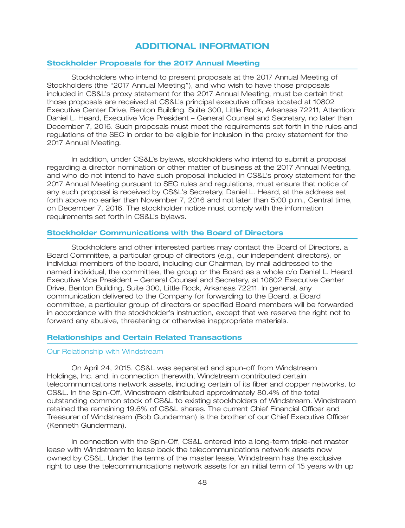### **ADDITIONAL INFORMATION**

### **Stockholder Proposals for the 2017 Annual Meeting**

Stockholders who intend to present proposals at the 2017 Annual Meeting of Stockholders (the ''2017 Annual Meeting''), and who wish to have those proposals included in CS&L's proxy statement for the 2017 Annual Meeting, must be certain that those proposals are received at CS&L's principal executive offices located at 10802 Executive Center Drive, Benton Building, Suite 300, Little Rock, Arkansas 72211, Attention: Daniel L. Heard, Executive Vice President – General Counsel and Secretary, no later than December 7, 2016. Such proposals must meet the requirements set forth in the rules and regulations of the SEC in order to be eligible for inclusion in the proxy statement for the 2017 Annual Meeting.

In addition, under CS&L's bylaws, stockholders who intend to submit a proposal regarding a director nomination or other matter of business at the 2017 Annual Meeting, and who do not intend to have such proposal included in CS&L's proxy statement for the 2017 Annual Meeting pursuant to SEC rules and regulations, must ensure that notice of any such proposal is received by CS&L's Secretary, Daniel L. Heard, at the address set forth above no earlier than November 7, 2016 and not later than 5:00 p.m., Central time, on December 7, 2016. The stockholder notice must comply with the information requirements set forth in CS&L's bylaws.

### **Stockholder Communications with the Board of Directors**

Stockholders and other interested parties may contact the Board of Directors, a Board Committee, a particular group of directors (e.g., our independent directors), or individual members of the board, including our Chairman, by mail addressed to the named individual, the committee, the group or the Board as a whole c/o Daniel L. Heard, Executive Vice President – General Counsel and Secretary, at 10802 Executive Center Drive, Benton Building, Suite 300, Little Rock, Arkansas 72211. In general, any communication delivered to the Company for forwarding to the Board, a Board committee, a particular group of directors or specified Board members will be forwarded in accordance with the stockholder's instruction, except that we reserve the right not to forward any abusive, threatening or otherwise inappropriate materials.

### **Relationships and Certain Related Transactions**

#### Our Relationship with Windstream

On April 24, 2015, CS&L was separated and spun-off from Windstream Holdings, Inc. and, in connection therewith, Windstream contributed certain telecommunications network assets, including certain of its fiber and copper networks, to CS&L. In the Spin-Off, Windstream distributed approximately 80.4% of the total outstanding common stock of CS&L to existing stockholders of Windstream. Windstream retained the remaining 19.6% of CS&L shares. The current Chief Financial Officer and Treasurer of Windstream (Bob Gunderman) is the brother of our Chief Executive Officer (Kenneth Gunderman).

In connection with the Spin-Off, CS&L entered into a long-term triple-net master lease with Windstream to lease back the telecommunications network assets now owned by CS&L. Under the terms of the master lease, Windstream has the exclusive right to use the telecommunications network assets for an initial term of 15 years with up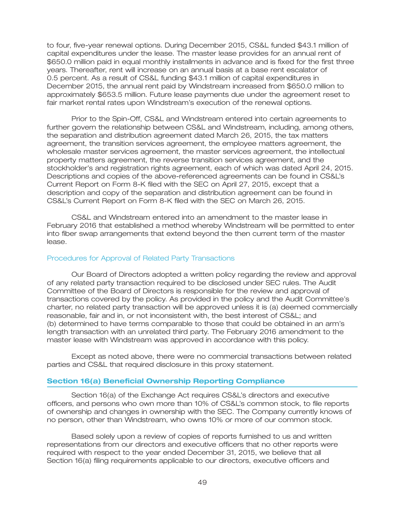to four, five-year renewal options. During December 2015, CS&L funded \$43.1 million of capital expenditures under the lease. The master lease provides for an annual rent of \$650.0 million paid in equal monthly installments in advance and is fixed for the first three years. Thereafter, rent will increase on an annual basis at a base rent escalator of 0.5 percent. As a result of CS&L funding \$43.1 million of capital expenditures in December 2015, the annual rent paid by Windstream increased from \$650.0 million to approximately \$653.5 million. Future lease payments due under the agreement reset to fair market rental rates upon Windstream's execution of the renewal options.

Prior to the Spin-Off, CS&L and Windstream entered into certain agreements to further govern the relationship between CS&L and Windstream, including, among others, the separation and distribution agreement dated March 26, 2015, the tax matters agreement, the transition services agreement, the employee matters agreement, the wholesale master services agreement, the master services agreement, the intellectual property matters agreement, the reverse transition services agreement, and the stockholder's and registration rights agreement, each of which was dated April 24, 2015. Descriptions and copies of the above-referenced agreements can be found in CS&L's Current Report on Form 8-K filed with the SEC on April 27, 2015, except that a description and copy of the separation and distribution agreement can be found in CS&L's Current Report on Form 8-K filed with the SEC on March 26, 2015.

CS&L and Windstream entered into an amendment to the master lease in February 2016 that established a method whereby Windstream will be permitted to enter into fiber swap arrangements that extend beyond the then current term of the master lease.

#### Procedures for Approval of Related Party Transactions

Our Board of Directors adopted a written policy regarding the review and approval of any related party transaction required to be disclosed under SEC rules. The Audit Committee of the Board of Directors is responsible for the review and approval of transactions covered by the policy. As provided in the policy and the Audit Committee's charter, no related party transaction will be approved unless it is (a) deemed commercially reasonable, fair and in, or not inconsistent with, the best interest of CS&L; and (b) determined to have terms comparable to those that could be obtained in an arm's length transaction with an unrelated third party. The February 2016 amendment to the master lease with Windstream was approved in accordance with this policy.

Except as noted above, there were no commercial transactions between related parties and CS&L that required disclosure in this proxy statement.

### **Section 16(a) Beneficial Ownership Reporting Compliance**

Section 16(a) of the Exchange Act requires CS&L's directors and executive officers, and persons who own more than 10% of CS&L's common stock, to file reports of ownership and changes in ownership with the SEC. The Company currently knows of no person, other than Windstream, who owns 10% or more of our common stock.

Based solely upon a review of copies of reports furnished to us and written representations from our directors and executive officers that no other reports were required with respect to the year ended December 31, 2015, we believe that all Section 16(a) filing requirements applicable to our directors, executive officers and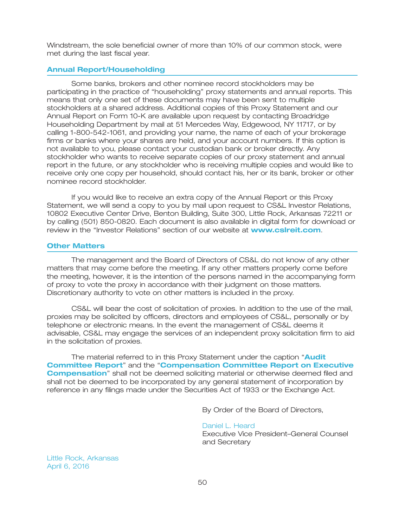Windstream, the sole beneficial owner of more than 10% of our common stock, were met during the last fiscal year.

### **Annual Report/Householding**

Some banks, brokers and other nominee record stockholders may be participating in the practice of ''householding'' proxy statements and annual reports. This means that only one set of these documents may have been sent to multiple stockholders at a shared address. Additional copies of this Proxy Statement and our Annual Report on Form 10-K are available upon request by contacting Broadridge Householding Department by mail at 51 Mercedes Way, Edgewood, NY 11717, or by calling 1-800-542-1061, and providing your name, the name of each of your brokerage firms or banks where your shares are held, and your account numbers. If this option is not available to you, please contact your custodian bank or broker directly. Any stockholder who wants to receive separate copies of our proxy statement and annual report in the future, or any stockholder who is receiving multiple copies and would like to receive only one copy per household, should contact his, her or its bank, broker or other nominee record stockholder.

If you would like to receive an extra copy of the Annual Report or this Proxy Statement, we will send a copy to you by mail upon request to CS&L Investor Relations, 10802 Executive Center Drive, Benton Building, Suite 300, Little Rock, Arkansas 72211 or by calling (501) 850-0820. Each document is also available in digital form for download or review in the "Investor Relations" section of our website at **www.csIreit.com**.

### **Other Matters**

The management and the Board of Directors of CS&L do not know of any other matters that may come before the meeting. If any other matters properly come before the meeting, however, it is the intention of the persons named in the accompanying form of proxy to vote the proxy in accordance with their judgment on those matters. Discretionary authority to vote on other matters is included in the proxy.

CS&L will bear the cost of solicitation of proxies. In addition to the use of the mail, proxies may be solicited by officers, directors and employees of CS&L, personally or by telephone or electronic means. In the event the management of CS&L deems it advisable, CS&L may engage the services of an independent proxy solicitation firm to aid in the solicitation of proxies.

The material referred to in this Proxy Statement under the caption '' **Audit Committee Report"** and the "**Compensation Committee Report on Executive Compensation**" shall not be deemed soliciting material or otherwise deemed filed and shall not be deemed to be incorporated by any general statement of incorporation by reference in any filings made under the Securities Act of 1933 or the Exchange Act.

By Order of the Board of Directors,

Executive Vice President–General Counsel and Secretary Daniel L. Heard

Little Rock, Arkansas April 6, 2016